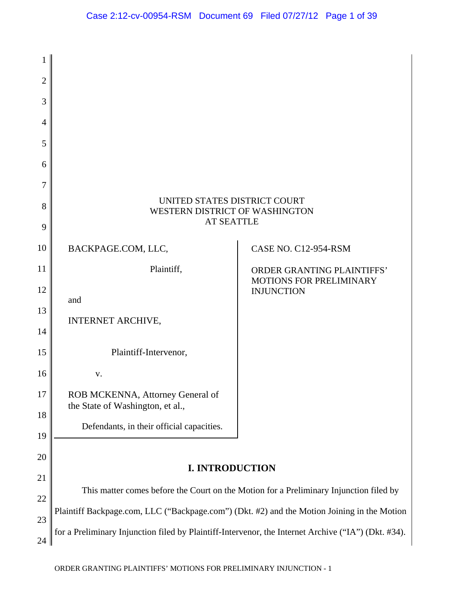| 1              |                                                                                                     |                                                     |
|----------------|-----------------------------------------------------------------------------------------------------|-----------------------------------------------------|
| $\overline{2}$ |                                                                                                     |                                                     |
| 3              |                                                                                                     |                                                     |
| 4              |                                                                                                     |                                                     |
| 5              |                                                                                                     |                                                     |
| 6              |                                                                                                     |                                                     |
| 7              |                                                                                                     |                                                     |
| 8              | UNITED STATES DISTRICT COURT<br>WESTERN DISTRICT OF WASHINGTON                                      |                                                     |
| 9              | <b>AT SEATTLE</b>                                                                                   |                                                     |
| 10             | BACKPAGE.COM, LLC,                                                                                  | <b>CASE NO. C12-954-RSM</b>                         |
| 11             | Plaintiff,                                                                                          | ORDER GRANTING PLAINTIFFS'                          |
| 12             | and                                                                                                 | <b>MOTIONS FOR PRELIMINARY</b><br><b>INJUNCTION</b> |
| 13             |                                                                                                     |                                                     |
| 14             | <b>INTERNET ARCHIVE,</b>                                                                            |                                                     |
| 15             | Plaintiff-Intervenor,                                                                               |                                                     |
| 16             | V.                                                                                                  |                                                     |
| 17             | ROB MCKENNA, Attorney General of                                                                    |                                                     |
| 18             | the State of Washington, et al.,                                                                    |                                                     |
| 19             | Defendants, in their official capacities.                                                           |                                                     |
| 20             |                                                                                                     |                                                     |
| 21             | <b>I. INTRODUCTION</b>                                                                              |                                                     |
| 22             | This matter comes before the Court on the Motion for a Preliminary Injunction filed by              |                                                     |
| 23             | Plaintiff Backpage.com, LLC ("Backpage.com") (Dkt. #2) and the Motion Joining in the Motion         |                                                     |
| 24             | for a Preliminary Injunction filed by Plaintiff-Intervenor, the Internet Archive ("IA") (Dkt. #34). |                                                     |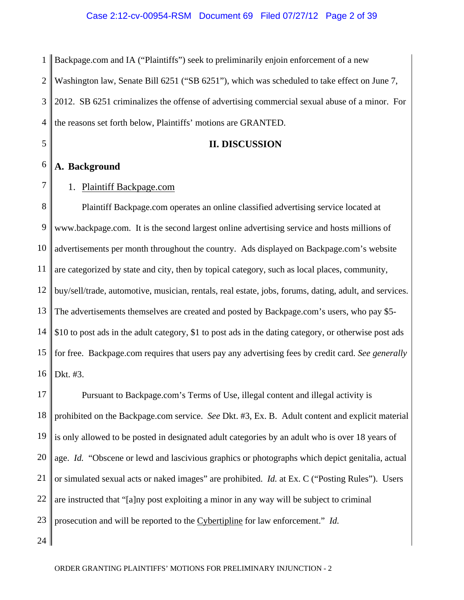1  $\mathcal{D}_{\mathcal{L}}$ 3 4 Backpage.com and IA ("Plaintiffs") seek to preliminarily enjoin enforcement of a new Washington law, Senate Bill 6251 ("SB 6251"), which was scheduled to take effect on June 7, 2012. SB 6251 criminalizes the offense of advertising commercial sexual abuse of a minor. For the reasons set forth below, Plaintiffs' motions are GRANTED.

#### **II. DISCUSSION**

#### 6 **A. Background**

5

7

1. Plaintiff Backpage.com

8 9 10 11 12 13 14 15 16 Plaintiff Backpage.com operates an online classified advertising service located at www.backpage.com. It is the second largest online advertising service and hosts millions of advertisements per month throughout the country. Ads displayed on Backpage.com's website are categorized by state and city, then by topical category, such as local places, community, buy/sell/trade, automotive, musician, rentals, real estate, jobs, forums, dating, adult, and services. The advertisements themselves are created and posted by Backpage.com's users, who pay \$5- \$10 to post ads in the adult category, \$1 to post ads in the dating category, or otherwise post ads for free. Backpage.com requires that users pay any advertising fees by credit card. *See generally*  Dkt. #3.

17 18 19 20 21 22 23 Pursuant to Backpage.com's Terms of Use, illegal content and illegal activity is prohibited on the Backpage.com service. *See* Dkt. #3, Ex. B. Adult content and explicit material is only allowed to be posted in designated adult categories by an adult who is over 18 years of age. *Id.* "Obscene or lewd and lascivious graphics or photographs which depict genitalia, actual or simulated sexual acts or naked images" are prohibited. *Id.* at Ex. C ("Posting Rules"). Users are instructed that "[a]ny post exploiting a minor in any way will be subject to criminal prosecution and will be reported to the Cybertipline for law enforcement." *Id.*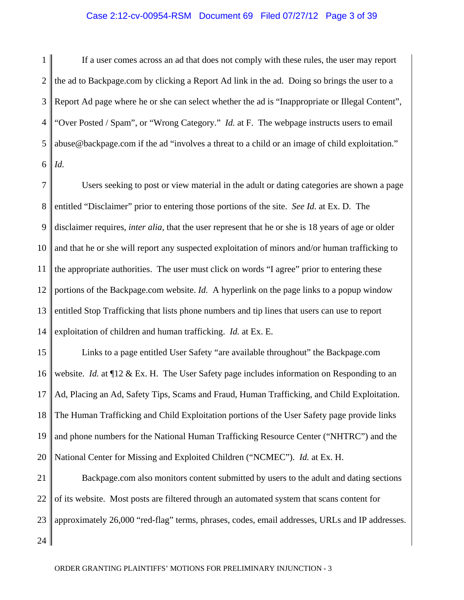#### Case 2:12-cv-00954-RSM Document 69 Filed 07/27/12 Page 3 of 39

1 2 3 4 5 6 If a user comes across an ad that does not comply with these rules, the user may report the ad to Backpage.com by clicking a Report Ad link in the ad. Doing so brings the user to a Report Ad page where he or she can select whether the ad is "Inappropriate or Illegal Content", "Over Posted / Spam", or "Wrong Category." *Id.* at F. The webpage instructs users to email abuse@backpage.com if the ad "involves a threat to a child or an image of child exploitation." *Id.* 

7 8 9 10 11 12 13 14 Users seeking to post or view material in the adult or dating categories are shown a page entitled "Disclaimer" prior to entering those portions of the site. *See Id.* at Ex. D. The disclaimer requires, *inter alia,* that the user represent that he or she is 18 years of age or older and that he or she will report any suspected exploitation of minors and/or human trafficking to the appropriate authorities. The user must click on words "I agree" prior to entering these portions of the Backpage.com website. *Id.* A hyperlink on the page links to a popup window entitled Stop Trafficking that lists phone numbers and tip lines that users can use to report exploitation of children and human trafficking. *Id.* at Ex. E.

15 16 17 18 19 20 Links to a page entitled User Safety "are available throughout" the Backpage.com website. *Id.* at  $\P$ 12 & Ex. H. The User Safety page includes information on Responding to an Ad, Placing an Ad, Safety Tips, Scams and Fraud, Human Trafficking, and Child Exploitation. The Human Trafficking and Child Exploitation portions of the User Safety page provide links and phone numbers for the National Human Trafficking Resource Center ("NHTRC") and the National Center for Missing and Exploited Children ("NCMEC"). *Id.* at Ex. H.

21 22 23 24 Backpage.com also monitors content submitted by users to the adult and dating sections of its website. Most posts are filtered through an automated system that scans content for approximately 26,000 "red-flag" terms, phrases, codes, email addresses, URLs and IP addresses.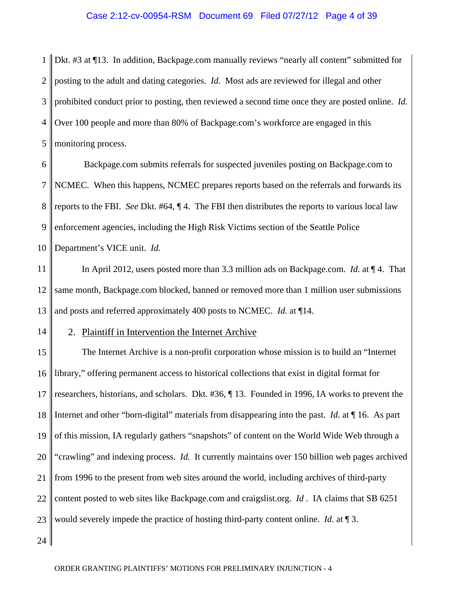#### Case 2:12-cv-00954-RSM Document 69 Filed 07/27/12 Page 4 of 39

1  $\mathcal{D}_{\mathcal{L}}$ 3 4 5 Dkt. #3 at ¶13. In addition, Backpage.com manually reviews "nearly all content" submitted for posting to the adult and dating categories. *Id.* Most ads are reviewed for illegal and other prohibited conduct prior to posting, then reviewed a second time once they are posted online. *Id.*  Over 100 people and more than 80% of Backpage.com's workforce are engaged in this monitoring process.

6 7 8 9 10 Backpage.com submits referrals for suspected juveniles posting on Backpage.com to NCMEC. When this happens, NCMEC prepares reports based on the referrals and forwards its reports to the FBI. *See* Dkt. #64, ¶ 4. The FBI then distributes the reports to various local law enforcement agencies, including the High Risk Victims section of the Seattle Police Department's VICE unit. *Id.*

11 12 13 In April 2012, users posted more than 3.3 million ads on Backpage.com. *Id.* at ¶ 4. That same month, Backpage.com blocked, banned or removed more than 1 million user submissions and posts and referred approximately 400 posts to NCMEC. *Id.* at ¶14.

#### 2. Plaintiff in Intervention the Internet Archive

15 16 17 18 19 20 21 22 23 The Internet Archive is a non-profit corporation whose mission is to build an "Internet library," offering permanent access to historical collections that exist in digital format for researchers, historians, and scholars. Dkt. #36, ¶ 13. Founded in 1996, IA works to prevent the Internet and other "born-digital" materials from disappearing into the past. *Id.* at ¶ 16. As part of this mission, IA regularly gathers "snapshots" of content on the World Wide Web through a "crawling" and indexing process. *Id.* It currently maintains over 150 billion web pages archived from 1996 to the present from web sites around the world, including archives of third-party content posted to web sites like Backpage.com and craigslist.org. *Id .* IA claims that SB 6251 would severely impede the practice of hosting third-party content online. *Id.* at ¶ 3.

24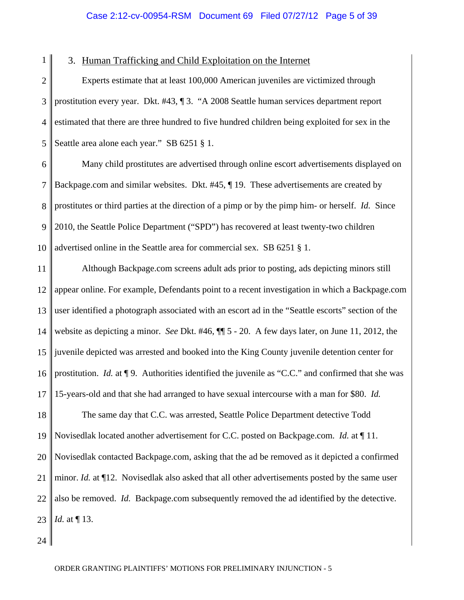#### Case 2:12-cv-00954-RSM Document 69 Filed 07/27/12 Page 5 of 39

1

## 3. Human Trafficking and Child Exploitation on the Internet

 $\mathcal{D}_{\mathcal{L}}$ 3 4 5 Experts estimate that at least 100,000 American juveniles are victimized through prostitution every year. Dkt. #43, ¶ 3. "A 2008 Seattle human services department report estimated that there are three hundred to five hundred children being exploited for sex in the Seattle area alone each year." SB 6251 § 1.

6 7 8 9 10 Many child prostitutes are advertised through online escort advertisements displayed on Backpage.com and similar websites. Dkt. #45, ¶ 19. These advertisements are created by prostitutes or third parties at the direction of a pimp or by the pimp him- or herself. *Id.* Since 2010, the Seattle Police Department ("SPD") has recovered at least twenty-two children advertised online in the Seattle area for commercial sex. SB 6251 § 1.

11 12 13 14 15 16 17 18 Although Backpage.com screens adult ads prior to posting, ads depicting minors still appear online. For example, Defendants point to a recent investigation in which a Backpage.com user identified a photograph associated with an escort ad in the "Seattle escorts" section of the website as depicting a minor. *See* Dkt. #46, ¶¶ 5 - 20. A few days later, on June 11, 2012, the juvenile depicted was arrested and booked into the King County juvenile detention center for prostitution. *Id.* at ¶ 9. Authorities identified the juvenile as "C.C." and confirmed that she was 15-years-old and that she had arranged to have sexual intercourse with a man for \$80. *Id.*  The same day that C.C. was arrested, Seattle Police Department detective Todd

19 20 21 22 23 Novisedlak located another advertisement for C.C. posted on Backpage.com. *Id.* at ¶ 11. Novisedlak contacted Backpage.com, asking that the ad be removed as it depicted a confirmed minor. *Id.* at ¶12. Novisedlak also asked that all other advertisements posted by the same user also be removed. *Id.* Backpage.com subsequently removed the ad identified by the detective. *Id.* at ¶ 13.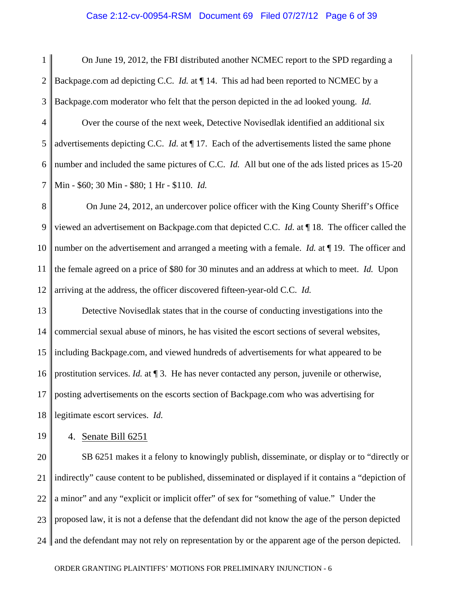#### Case 2:12-cv-00954-RSM Document 69 Filed 07/27/12 Page 6 of 39

1  $\mathcal{D}_{\mathcal{L}}$ 3 On June 19, 2012, the FBI distributed another NCMEC report to the SPD regarding a Backpage.com ad depicting C.C. *Id.* at ¶ 14. This ad had been reported to NCMEC by a Backpage.com moderator who felt that the person depicted in the ad looked young. *Id.* 

4 5 6 7 Over the course of the next week, Detective Novisedlak identified an additional six advertisements depicting C.C. *Id.* at ¶ 17. Each of the advertisements listed the same phone number and included the same pictures of C.C. *Id.* All but one of the ads listed prices as 15-20 Min - \$60; 30 Min - \$80; 1 Hr - \$110. *Id.* 

8 9 10 11 12 On June 24, 2012, an undercover police officer with the King County Sheriff's Office viewed an advertisement on Backpage.com that depicted C.C. *Id.* at ¶ 18. The officer called the number on the advertisement and arranged a meeting with a female. *Id.* at  $\P$  19. The officer and the female agreed on a price of \$80 for 30 minutes and an address at which to meet. *Id.* Upon arriving at the address, the officer discovered fifteen-year-old C.C. *Id.* 

13 14 15 16 17 18 Detective Novisedlak states that in the course of conducting investigations into the commercial sexual abuse of minors, he has visited the escort sections of several websites, including Backpage.com, and viewed hundreds of advertisements for what appeared to be prostitution services. *Id.* at ¶ 3. He has never contacted any person, juvenile or otherwise, posting advertisements on the escorts section of Backpage.com who was advertising for legitimate escort services. *Id.* 

19 4. Senate Bill 6251

20 21 22 23 24 SB 6251 makes it a felony to knowingly publish, disseminate, or display or to "directly or indirectly" cause content to be published, disseminated or displayed if it contains a "depiction of a minor" and any "explicit or implicit offer" of sex for "something of value." Under the proposed law, it is not a defense that the defendant did not know the age of the person depicted and the defendant may not rely on representation by or the apparent age of the person depicted.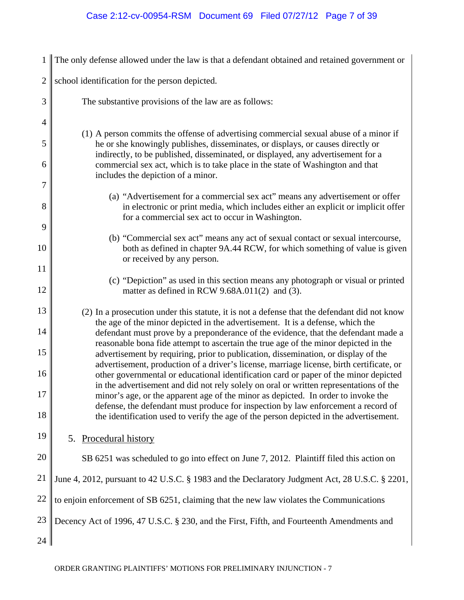| 1              | The only defense allowed under the law is that a defendant obtained and retained government or                                                                                                                                                                         |
|----------------|------------------------------------------------------------------------------------------------------------------------------------------------------------------------------------------------------------------------------------------------------------------------|
| $\overline{2}$ | school identification for the person depicted.                                                                                                                                                                                                                         |
| 3              | The substantive provisions of the law are as follows:                                                                                                                                                                                                                  |
| $\overline{4}$ |                                                                                                                                                                                                                                                                        |
| 5              | (1) A person commits the offense of advertising commercial sexual abuse of a minor if<br>he or she knowingly publishes, disseminates, or displays, or causes directly or<br>indirectly, to be published, disseminated, or displayed, any advertisement for a           |
| 6              | commercial sex act, which is to take place in the state of Washington and that<br>includes the depiction of a minor.                                                                                                                                                   |
| 7<br>8         | (a) "Advertisement for a commercial sex act" means any advertisement or offer<br>in electronic or print media, which includes either an explicit or implicit offer<br>for a commercial sex act to occur in Washington.                                                 |
| 9              | (b) "Commercial sex act" means any act of sexual contact or sexual intercourse,                                                                                                                                                                                        |
| 10             | both as defined in chapter 9A.44 RCW, for which something of value is given<br>or received by any person.                                                                                                                                                              |
| 11             | (c) "Depiction" as used in this section means any photograph or visual or printed                                                                                                                                                                                      |
| 12             | matter as defined in RCW $9.68A.011(2)$ and (3).                                                                                                                                                                                                                       |
| 13             | (2) In a prosecution under this statute, it is not a defense that the defendant did not know<br>the age of the minor depicted in the advertisement. It is a defense, which the                                                                                         |
| 14<br>15       | defendant must prove by a preponderance of the evidence, that the defendant made a<br>reasonable bona fide attempt to ascertain the true age of the minor depicted in the                                                                                              |
| 16             | advertisement by requiring, prior to publication, dissemination, or display of the<br>advertisement, production of a driver's license, marriage license, birth certificate, or<br>other governmental or educational identification card or paper of the minor depicted |
| 17             | in the advertisement and did not rely solely on oral or written representations of the<br>minor's age, or the apparent age of the minor as depicted. In order to invoke the                                                                                            |
| 18             | defense, the defendant must produce for inspection by law enforcement a record of<br>the identification used to verify the age of the person depicted in the advertisement.                                                                                            |
| 19             | Procedural history<br>5.                                                                                                                                                                                                                                               |
| 20             | SB 6251 was scheduled to go into effect on June 7, 2012. Plaintiff filed this action on                                                                                                                                                                                |
| 21             | June 4, 2012, pursuant to 42 U.S.C. § 1983 and the Declaratory Judgment Act, 28 U.S.C. § 2201,                                                                                                                                                                         |
| 22             | to enjoin enforcement of SB 6251, claiming that the new law violates the Communications                                                                                                                                                                                |
| 23             | Decency Act of 1996, 47 U.S.C. § 230, and the First, Fifth, and Fourteenth Amendments and                                                                                                                                                                              |
| 24             |                                                                                                                                                                                                                                                                        |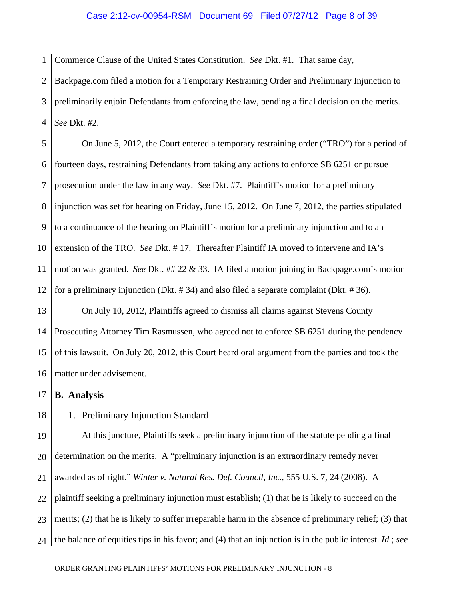#### Case 2:12-cv-00954-RSM Document 69 Filed 07/27/12 Page 8 of 39

1 Commerce Clause of the United States Constitution. *See* Dkt. #1*.* That same day,

 $\mathcal{D}_{\mathcal{L}}$ 3 4 Backpage.com filed a motion for a Temporary Restraining Order and Preliminary Injunction to preliminarily enjoin Defendants from enforcing the law, pending a final decision on the merits. *See* Dkt. #2.

5 6 7 8 9 10 11 12 On June 5, 2012, the Court entered a temporary restraining order ("TRO") for a period of fourteen days, restraining Defendants from taking any actions to enforce SB 6251 or pursue prosecution under the law in any way. *See* Dkt. #7. Plaintiff's motion for a preliminary injunction was set for hearing on Friday, June 15, 2012. On June 7, 2012, the parties stipulated to a continuance of the hearing on Plaintiff's motion for a preliminary injunction and to an extension of the TRO. *See* Dkt. # 17. Thereafter Plaintiff IA moved to intervene and IA's motion was granted. *See* Dkt. ## 22 & 33. IA filed a motion joining in Backpage.com's motion for a preliminary injunction (Dkt. # 34) and also filed a separate complaint (Dkt. # 36).

13 14 15 16 On July 10, 2012, Plaintiffs agreed to dismiss all claims against Stevens County Prosecuting Attorney Tim Rasmussen, who agreed not to enforce SB 6251 during the pendency of this lawsuit. On July 20, 2012, this Court heard oral argument from the parties and took the matter under advisement.

17 **B. Analysis** 

18

#### 1. Preliminary Injunction Standard

19 20 21 22 23 24 At this juncture, Plaintiffs seek a preliminary injunction of the statute pending a final determination on the merits. A "preliminary injunction is an extraordinary remedy never awarded as of right." *Winter v. Natural Res. Def. Council, Inc*., 555 U.S. 7, 24 (2008). A plaintiff seeking a preliminary injunction must establish; (1) that he is likely to succeed on the merits; (2) that he is likely to suffer irreparable harm in the absence of preliminary relief; (3) that the balance of equities tips in his favor; and (4) that an injunction is in the public interest. *Id.*; *see*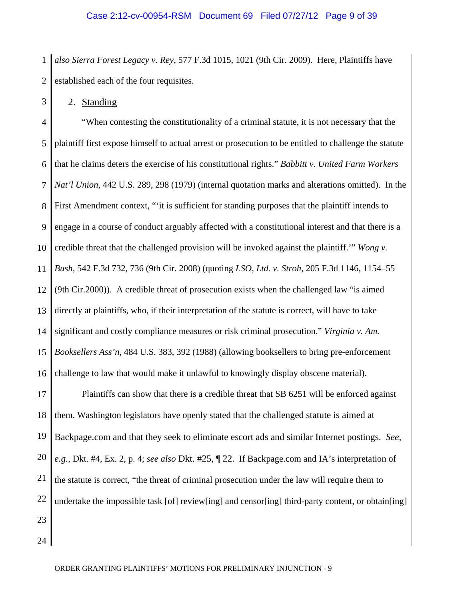1  $\mathcal{D}_{\mathcal{L}}$ *also Sierra Forest Legacy v. Rey*, 577 F.3d 1015, 1021 (9th Cir. 2009). Here, Plaintiffs have established each of the four requisites.

2. Standing

3

4 5 6 7 8 9 10 11 12 13 14 15 16 "When contesting the constitutionality of a criminal statute, it is not necessary that the plaintiff first expose himself to actual arrest or prosecution to be entitled to challenge the statute that he claims deters the exercise of his constitutional rights." *Babbitt v. United Farm Workers Nat'l Union*, 442 U.S. 289, 298 (1979) (internal quotation marks and alterations omitted). In the First Amendment context, "'it is sufficient for standing purposes that the plaintiff intends to engage in a course of conduct arguably affected with a constitutional interest and that there is a credible threat that the challenged provision will be invoked against the plaintiff.'" *Wong v. Bush,* 542 F.3d 732, 736 (9th Cir. 2008) (quoting *LSO, Ltd. v. Stroh,* 205 F.3d 1146, 1154–55 (9th Cir.2000)). A credible threat of prosecution exists when the challenged law "is aimed directly at plaintiffs, who, if their interpretation of the statute is correct, will have to take significant and costly compliance measures or risk criminal prosecution." *Virginia v. Am. Booksellers Ass'n*, 484 U.S. 383, 392 (1988) (allowing booksellers to bring pre-enforcement challenge to law that would make it unlawful to knowingly display obscene material).

17 18 19 20 21 22 23 Plaintiffs can show that there is a credible threat that SB 6251 will be enforced against them. Washington legislators have openly stated that the challenged statute is aimed at Backpage.com and that they seek to eliminate escort ads and similar Internet postings. *See*, *e.g.*, Dkt. #4, Ex. 2, p. 4; *see also* Dkt. #25, ¶ 22. If Backpage.com and IA's interpretation of the statute is correct, "the threat of criminal prosecution under the law will require them to undertake the impossible task [of] review[ing] and censor[ing] third-party content, or obtain[ing]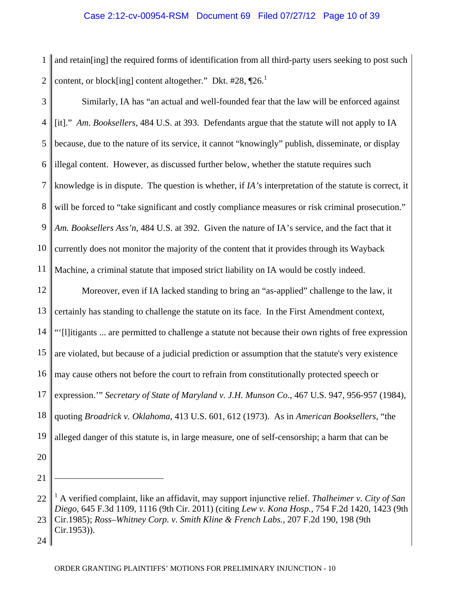### Case 2:12-cv-00954-RSM Document 69 Filed 07/27/12 Page 10 of 39

1 2 and retain[ing] the required forms of identification from all third-party users seeking to post such content, or block[ing] content altogether." Dkt. #28,  $\P$ 26.<sup>1</sup>

| 3              | Similarly, IA has "an actual and well-founded fear that the law will be enforced against               |
|----------------|--------------------------------------------------------------------------------------------------------|
| $\overline{4}$ | [it]." Am. Booksellers, 484 U.S. at 393. Defendants argue that the statute will not apply to IA        |
| 5              | because, due to the nature of its service, it cannot "knowingly" publish, disseminate, or display      |
| 6              | illegal content. However, as discussed further below, whether the statute requires such                |
| $\tau$         | knowledge is in dispute. The question is whether, if IA's interpretation of the statute is correct, it |
| 8              | will be forced to "take significant and costly compliance measures or risk criminal prosecution."      |
| 9              | Am. Booksellers Ass'n, 484 U.S. at 392. Given the nature of IA's service, and the fact that it         |
| 10             | currently does not monitor the majority of the content that it provides through its Wayback            |
| 11             | Machine, a criminal statute that imposed strict liability on IA would be costly indeed.                |
| 12             | Moreover, even if IA lacked standing to bring an "as-applied" challenge to the law, it                 |
| 13             | certainly has standing to challenge the statute on its face. In the First Amendment context,           |
| 14             | "[I] itigants  are permitted to challenge a statute not because their own rights of free expression    |
| 15             | are violated, but because of a judicial prediction or assumption that the statute's very existence     |
| 16             | may cause others not before the court to refrain from constitutionally protected speech or             |
| 17             | expression."" Secretary of State of Maryland v. J.H. Munson Co., 467 U.S. 947, 956-957 (1984),         |
| 18             | quoting Broadrick v. Oklahoma, 413 U.S. 601, 612 (1973). As in American Booksellers, "the              |
| 19             | alleged danger of this statute is, in large measure, one of self-censorship; a harm that can be        |
| 20             |                                                                                                        |

21

<u>.</u>

<sup>22</sup> 23 <sup>1</sup> A verified complaint, like an affidavit, may support injunctive relief. *Thalheimer v. City of San Diego*, 645 F.3d 1109, 1116 (9th Cir. 2011) (citing *Lew v. Kona Hosp.,* 754 F.2d 1420, 1423 (9th Cir.1985); *Ross–Whitney Corp. v. Smith Kline & French Labs.,* 207 F.2d 190, 198 (9th Cir.1953)).

<sup>24</sup>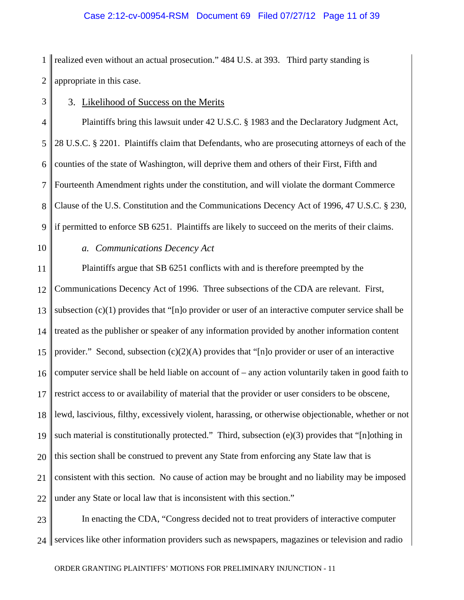#### Case 2:12-cv-00954-RSM Document 69 Filed 07/27/12 Page 11 of 39

1  $\mathcal{D}_{\mathcal{L}}$ realized even without an actual prosecution." 484 U.S. at 393. Third party standing is appropriate in this case.

3. Likelihood of Success on the Merits

4 5 6 7 8 9 Plaintiffs bring this lawsuit under 42 U.S.C. § 1983 and the Declaratory Judgment Act, 28 U.S.C. § 2201. Plaintiffs claim that Defendants, who are prosecuting attorneys of each of the counties of the state of Washington, will deprive them and others of their First, Fifth and Fourteenth Amendment rights under the constitution, and will violate the dormant Commerce Clause of the U.S. Constitution and the Communications Decency Act of 1996, 47 U.S.C. § 230, if permitted to enforce SB 6251. Plaintiffs are likely to succeed on the merits of their claims.

10

3

*a. Communications Decency Act* 

11 12 13 14 15 16 17 18 19 20 21  $22$ Plaintiffs argue that SB 6251 conflicts with and is therefore preempted by the Communications Decency Act of 1996. Three subsections of the CDA are relevant. First, subsection  $(c)(1)$  provides that "[n]o provider or user of an interactive computer service shall be treated as the publisher or speaker of any information provided by another information content provider." Second, subsection  $(c)(2)(A)$  provides that "[n]o provider or user of an interactive computer service shall be held liable on account of – any action voluntarily taken in good faith to restrict access to or availability of material that the provider or user considers to be obscene, lewd, lascivious, filthy, excessively violent, harassing, or otherwise objectionable, whether or not such material is constitutionally protected." Third, subsection (e)(3) provides that "[n]othing in this section shall be construed to prevent any State from enforcing any State law that is consistent with this section. No cause of action may be brought and no liability may be imposed under any State or local law that is inconsistent with this section."

23 24 $\parallel$ In enacting the CDA, "Congress decided not to treat providers of interactive computer services like other information providers such as newspapers, magazines or television and radio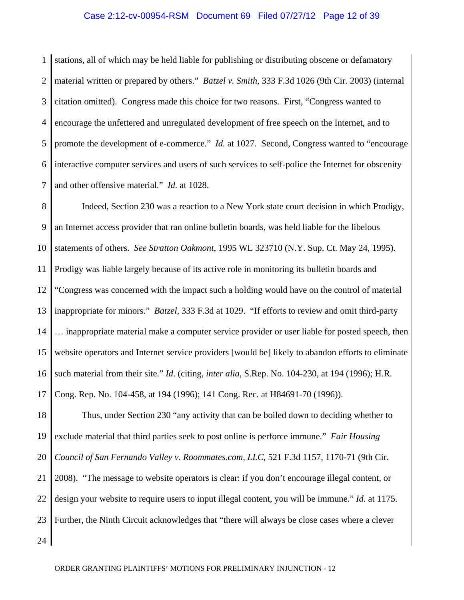#### Case 2:12-cv-00954-RSM Document 69 Filed 07/27/12 Page 12 of 39

1  $\mathcal{D}_{\mathcal{L}}$ 3 4 5 6 7 stations, all of which may be held liable for publishing or distributing obscene or defamatory material written or prepared by others." *Batzel v. Smith*, 333 F.3d 1026 (9th Cir. 2003) (internal citation omitted). Congress made this choice for two reasons. First, "Congress wanted to encourage the unfettered and unregulated development of free speech on the Internet, and to promote the development of e-commerce." *Id.* at 1027. Second, Congress wanted to "encourage interactive computer services and users of such services to self-police the Internet for obscenity and other offensive material." *Id.* at 1028.

8 9 10 11 12 13 14 15 16 17 Indeed, Section 230 was a reaction to a New York state court decision in which Prodigy, an Internet access provider that ran online bulletin boards, was held liable for the libelous statements of others. *See Stratton Oakmont*, 1995 WL 323710 (N.Y. Sup. Ct. May 24, 1995). Prodigy was liable largely because of its active role in monitoring its bulletin boards and "Congress was concerned with the impact such a holding would have on the control of material inappropriate for minors." *Batzel*, 333 F.3d at 1029. "If efforts to review and omit third-party … inappropriate material make a computer service provider or user liable for posted speech, then website operators and Internet service providers [would be] likely to abandon efforts to eliminate such material from their site." *Id*. (citing, *inter alia*, S.Rep. No. 104-230, at 194 (1996); H.R. Cong. Rep. No. 104-458, at 194 (1996); 141 Cong. Rec. at H84691-70 (1996)).

18 19 20 21 22 23 24 Thus, under Section 230 "any activity that can be boiled down to deciding whether to exclude material that third parties seek to post online is perforce immune." *Fair Housing Council of San Fernando Valley v. Roommates.com, LLC*, 521 F.3d 1157, 1170-71 (9th Cir. 2008). "The message to website operators is clear: if you don't encourage illegal content, or design your website to require users to input illegal content, you will be immune." *Id.* at 1175. Further, the Ninth Circuit acknowledges that "there will always be close cases where a clever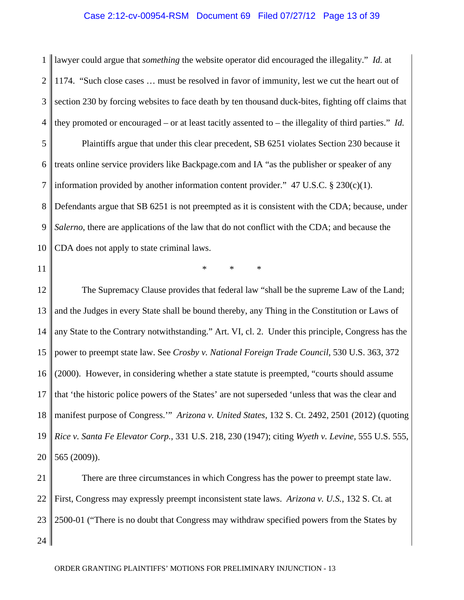#### Case 2:12-cv-00954-RSM Document 69 Filed 07/27/12 Page 13 of 39

1  $\mathcal{D}_{\mathcal{L}}$ 3 4 5 6 7 8 9 10 11 lawyer could argue that *something* the website operator did encouraged the illegality." *Id.* at 1174. "Such close cases … must be resolved in favor of immunity, lest we cut the heart out of section 230 by forcing websites to face death by ten thousand duck-bites, fighting off claims that they promoted or encouraged – or at least tacitly assented to – the illegality of third parties." *Id.*  Plaintiffs argue that under this clear precedent, SB 6251 violates Section 230 because it treats online service providers like Backpage.com and IA "as the publisher or speaker of any information provided by another information content provider."  $47 \text{ U.S.C.}$  §  $230(c)(1)$ . Defendants argue that SB 6251 is not preempted as it is consistent with the CDA; because, under *Salerno*, there are applications of the law that do not conflict with the CDA; and because the CDA does not apply to state criminal laws. \* \* \*

12 13 14 15 16 17 18 19 20 The Supremacy Clause provides that federal law "shall be the supreme Law of the Land; and the Judges in every State shall be bound thereby, any Thing in the Constitution or Laws of any State to the Contrary notwithstanding." Art. VI, cl. 2. Under this principle, Congress has the power to preempt state law. See *Crosby v. National Foreign Trade Council,* 530 U.S. 363, 372 (2000). However, in considering whether a state statute is preempted, "courts should assume that 'the historic police powers of the States' are not superseded 'unless that was the clear and manifest purpose of Congress.'" *Arizona v. United States*, 132 S. Ct. 2492, 2501 (2012) (quoting *Rice v. Santa Fe Elevator Corp.*, 331 U.S. 218, 230 (1947); citing *Wyeth v. Levine,* 555 U.S. 555, 565 (2009)).

21 22 23 24 There are three circumstances in which Congress has the power to preempt state law. First, Congress may expressly preempt inconsistent state laws. *Arizona v. U.S.*, 132 S. Ct. at 2500-01 ("There is no doubt that Congress may withdraw specified powers from the States by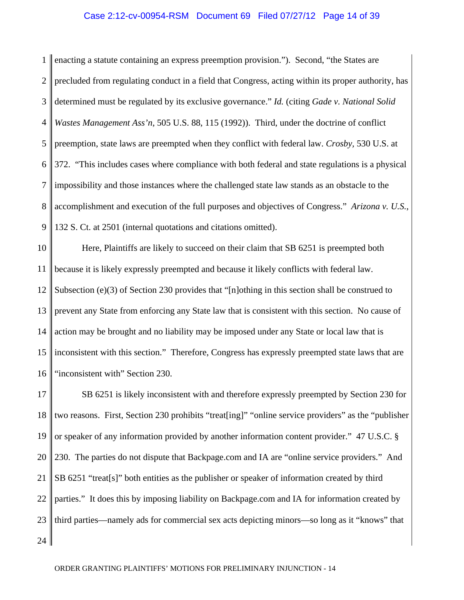#### Case 2:12-cv-00954-RSM Document 69 Filed 07/27/12 Page 14 of 39

1  $\mathcal{D}_{\mathcal{L}}$ 3 4 5 6 7 8 9 enacting a statute containing an express preemption provision."). Second, "the States are precluded from regulating conduct in a field that Congress, acting within its proper authority, has determined must be regulated by its exclusive governance." *Id.* (citing *Gade v. National Solid Wastes Management Ass'n*, 505 U.S. 88, 115 (1992)). Third, under the doctrine of conflict preemption, state laws are preempted when they conflict with federal law. *Crosby,* 530 U.S. at 372. "This includes cases where compliance with both federal and state regulations is a physical impossibility and those instances where the challenged state law stands as an obstacle to the accomplishment and execution of the full purposes and objectives of Congress." *Arizona v. U.S.*, 132 S. Ct. at 2501 (internal quotations and citations omitted).

10 11 12 13 14 15 16 Here, Plaintiffs are likely to succeed on their claim that SB 6251 is preempted both because it is likely expressly preempted and because it likely conflicts with federal law. Subsection (e)(3) of Section 230 provides that "[n]othing in this section shall be construed to prevent any State from enforcing any State law that is consistent with this section. No cause of action may be brought and no liability may be imposed under any State or local law that is inconsistent with this section." Therefore, Congress has expressly preempted state laws that are "inconsistent with" Section 230.

17 18 19 20 21 22 23 24 SB 6251 is likely inconsistent with and therefore expressly preempted by Section 230 for two reasons. First, Section 230 prohibits "treat[ing]" "online service providers" as the "publisher or speaker of any information provided by another information content provider." 47 U.S.C. § 230. The parties do not dispute that Backpage.com and IA are "online service providers." And SB 6251 "treat[s]" both entities as the publisher or speaker of information created by third parties." It does this by imposing liability on Backpage.com and IA for information created by third parties—namely ads for commercial sex acts depicting minors—so long as it "knows" that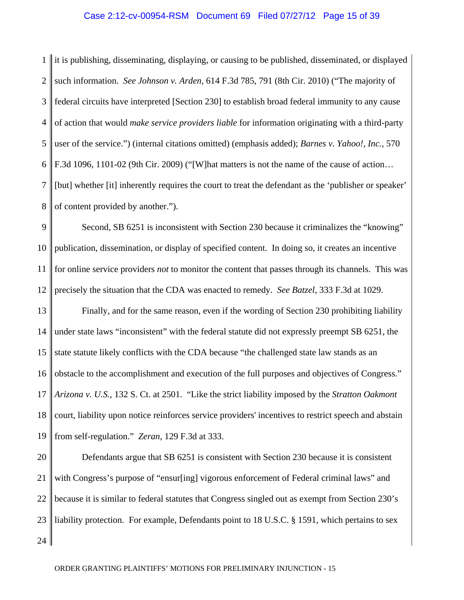#### Case 2:12-cv-00954-RSM Document 69 Filed 07/27/12 Page 15 of 39

1  $\mathcal{D}_{\mathcal{L}}$ 3 4 5 6 7 8 it is publishing, disseminating, displaying, or causing to be published, disseminated, or displayed such information. *See Johnson v. Arden*, 614 F.3d 785, 791 (8th Cir. 2010) ("The majority of federal circuits have interpreted [Section 230] to establish broad federal immunity to any cause of action that would *make service providers liable* for information originating with a third-party user of the service.") (internal citations omitted) (emphasis added); *Barnes v. Yahoo!, Inc.*, 570 F.3d 1096, 1101-02 (9th Cir. 2009) ("[W]hat matters is not the name of the cause of action… [but] whether [it] inherently requires the court to treat the defendant as the 'publisher or speaker' of content provided by another.").

9 10 11 12 Second, SB 6251 is inconsistent with Section 230 because it criminalizes the "knowing" publication, dissemination, or display of specified content. In doing so, it creates an incentive for online service providers *not* to monitor the content that passes through its channels. This was precisely the situation that the CDA was enacted to remedy. *See Batzel*, 333 F.3d at 1029.

13 14 15 16 17 18 19 Finally, and for the same reason, even if the wording of Section 230 prohibiting liability under state laws "inconsistent" with the federal statute did not expressly preempt SB 6251, the state statute likely conflicts with the CDA because "the challenged state law stands as an obstacle to the accomplishment and execution of the full purposes and objectives of Congress." *Arizona v. U.S.*, 132 S. Ct. at 2501. "Like the strict liability imposed by the *Stratton Oakmont* court, liability upon notice reinforces service providers' incentives to restrict speech and abstain from self-regulation." *Zeran*, 129 F.3d at 333.

20 21 22 23 24 Defendants argue that SB 6251 is consistent with Section 230 because it is consistent with Congress's purpose of "ensur[ing] vigorous enforcement of Federal criminal laws" and because it is similar to federal statutes that Congress singled out as exempt from Section 230's liability protection. For example, Defendants point to 18 U.S.C. § 1591, which pertains to sex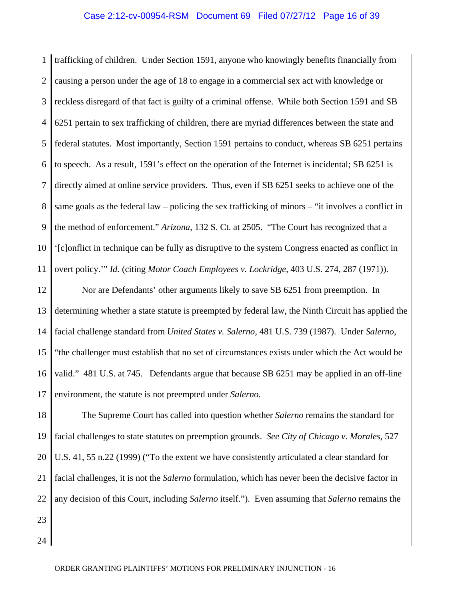#### Case 2:12-cv-00954-RSM Document 69 Filed 07/27/12 Page 16 of 39

1  $\mathcal{D}_{\mathcal{L}}$ 3 4 5 6 7 8 9 10 11 trafficking of children. Under Section 1591, anyone who knowingly benefits financially from causing a person under the age of 18 to engage in a commercial sex act with knowledge or reckless disregard of that fact is guilty of a criminal offense. While both Section 1591 and SB 6251 pertain to sex trafficking of children, there are myriad differences between the state and federal statutes. Most importantly, Section 1591 pertains to conduct, whereas SB 6251 pertains to speech. As a result, 1591's effect on the operation of the Internet is incidental; SB 6251 is directly aimed at online service providers. Thus, even if SB 6251 seeks to achieve one of the same goals as the federal law – policing the sex trafficking of minors – "it involves a conflict in the method of enforcement." *Arizona*, 132 S. Ct. at 2505. "The Court has recognized that a '[c]onflict in technique can be fully as disruptive to the system Congress enacted as conflict in overt policy.'" *Id.* (citing *Motor Coach Employees v. Lockridge,* 403 U.S. 274, 287 (1971)).

12 13 14 15 16 17 Nor are Defendants' other arguments likely to save SB 6251 from preemption. In determining whether a state statute is preempted by federal law, the Ninth Circuit has applied the facial challenge standard from *United States v. Salerno*, 481 U.S. 739 (1987). Under *Salerno*, "the challenger must establish that no set of circumstances exists under which the Act would be valid." 481 U.S. at 745. Defendants argue that because SB 6251 may be applied in an off-line environment, the statute is not preempted under *Salerno.*

18 19 20 21 22 23 The Supreme Court has called into question whether *Salerno* remains the standard for facial challenges to state statutes on preemption grounds. *See City of Chicago v. Morales*, 527 U.S. 41, 55 n.22 (1999) ("To the extent we have consistently articulated a clear standard for facial challenges, it is not the *Salerno* formulation, which has never been the decisive factor in any decision of this Court, including *Salerno* itself."). Even assuming that *Salerno* remains the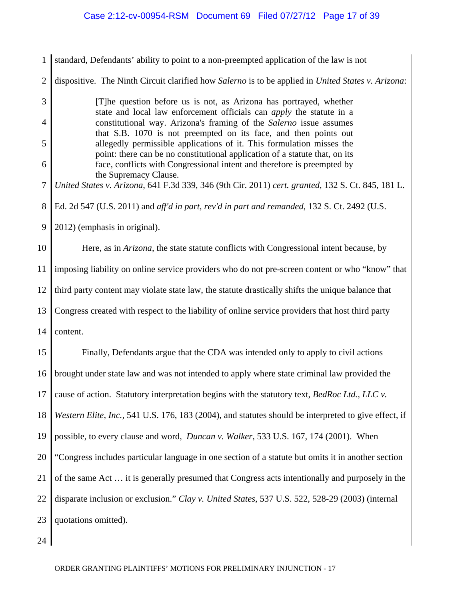| $\mathbf{1}$        | standard, Defendants' ability to point to a non-preempted application of the law is not                                                                                                                                  |
|---------------------|--------------------------------------------------------------------------------------------------------------------------------------------------------------------------------------------------------------------------|
| $\overline{2}$      | dispositive. The Ninth Circuit clarified how Salerno is to be applied in United States v. Arizona:                                                                                                                       |
| 3<br>$\overline{4}$ | [T] he question before us is not, as Arizona has portrayed, whether<br>state and local law enforcement officials can <i>apply</i> the statute in a<br>constitutional way. Arizona's framing of the Salerno issue assumes |
| 5                   | that S.B. 1070 is not preempted on its face, and then points out<br>allegedly permissible applications of it. This formulation misses the                                                                                |
| 6                   | point: there can be no constitutional application of a statute that, on its<br>face, conflicts with Congressional intent and therefore is preempted by                                                                   |
| 7                   | the Supremacy Clause.<br>United States v. Arizona, 641 F.3d 339, 346 (9th Cir. 2011) cert. granted, 132 S. Ct. 845, 181 L.                                                                                               |
| 8                   | Ed. 2d 547 (U.S. 2011) and aff'd in part, rev'd in part and remanded, 132 S. Ct. 2492 (U.S.                                                                                                                              |
| 9                   | 2012) (emphasis in original).                                                                                                                                                                                            |
| 10                  | Here, as in <i>Arizona</i> , the state statute conflicts with Congressional intent because, by                                                                                                                           |
| 11                  | imposing liability on online service providers who do not pre-screen content or who "know" that                                                                                                                          |
| 12                  | third party content may violate state law, the statute drastically shifts the unique balance that                                                                                                                        |
| 13                  | Congress created with respect to the liability of online service providers that host third party                                                                                                                         |
| 14                  | content.                                                                                                                                                                                                                 |
| 15                  | Finally, Defendants argue that the CDA was intended only to apply to civil actions                                                                                                                                       |
| 16                  | brought under state law and was not intended to apply where state criminal law provided the                                                                                                                              |
| 17                  | cause of action. Statutory interpretation begins with the statutory text, BedRoc Ltd., LLC v.                                                                                                                            |
| 18                  | Western Elite, Inc., 541 U.S. 176, 183 (2004), and statutes should be interpreted to give effect, if                                                                                                                     |
| 19                  | possible, to every clause and word, <i>Duncan v. Walker</i> , 533 U.S. 167, 174 (2001). When                                                                                                                             |
| 20                  | "Congress includes particular language in one section of a statute but omits it in another section                                                                                                                       |
| 21                  | of the same Act  it is generally presumed that Congress acts intentionally and purposely in the                                                                                                                          |
| 22                  | disparate inclusion or exclusion." Clay v. United States, 537 U.S. 522, 528-29 (2003) (internal                                                                                                                          |
| 23                  | quotations omitted).                                                                                                                                                                                                     |
| 24                  |                                                                                                                                                                                                                          |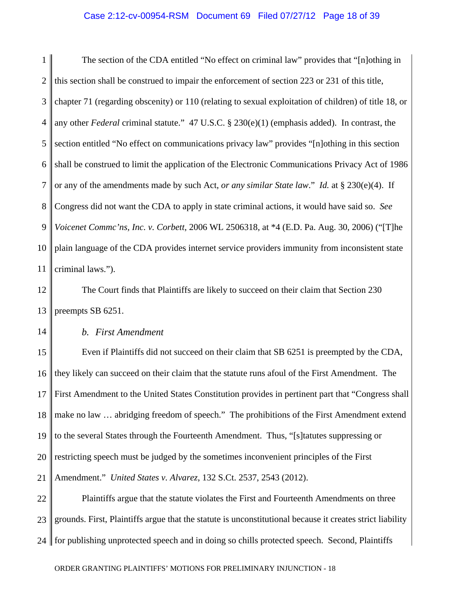#### Case 2:12-cv-00954-RSM Document 69 Filed 07/27/12 Page 18 of 39

1  $\mathcal{D}_{\mathcal{L}}$ 3 4 5 6 7 8 9 10 11 The section of the CDA entitled "No effect on criminal law" provides that "[n]othing in this section shall be construed to impair the enforcement of section 223 or 231 of this title, chapter 71 (regarding obscenity) or 110 (relating to sexual exploitation of children) of title 18, or any other *Federal* criminal statute." 47 U.S.C. § 230(e)(1) (emphasis added). In contrast, the section entitled "No effect on communications privacy law" provides "[n]othing in this section shall be construed to limit the application of the Electronic Communications Privacy Act of 1986 or any of the amendments made by such Act, *or any similar State law*." *Id.* at § 230(e)(4). If Congress did not want the CDA to apply in state criminal actions, it would have said so. *See Voicenet Commc'ns, Inc. v. Corbett*, 2006 WL 2506318, at \*4 (E.D. Pa. Aug. 30, 2006) ("[T]he plain language of the CDA provides internet service providers immunity from inconsistent state criminal laws.").

12 13 The Court finds that Plaintiffs are likely to succeed on their claim that Section 230 preempts SB 6251.

14

#### *b. First Amendment*

15 16 17 18 19 20 21 Even if Plaintiffs did not succeed on their claim that SB 6251 is preempted by the CDA, they likely can succeed on their claim that the statute runs afoul of the First Amendment. The First Amendment to the United States Constitution provides in pertinent part that "Congress shall make no law … abridging freedom of speech." The prohibitions of the First Amendment extend to the several States through the Fourteenth Amendment. Thus, "[s]tatutes suppressing or restricting speech must be judged by the sometimes inconvenient principles of the First Amendment." *United States v. Alvarez*, 132 S.Ct. 2537, 2543 (2012).

22 23 24 ll Plaintiffs argue that the statute violates the First and Fourteenth Amendments on three grounds. First, Plaintiffs argue that the statute is unconstitutional because it creates strict liability for publishing unprotected speech and in doing so chills protected speech. Second, Plaintiffs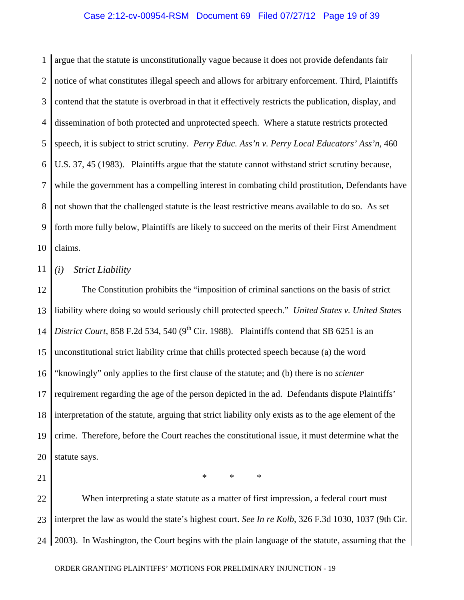#### Case 2:12-cv-00954-RSM Document 69 Filed 07/27/12 Page 19 of 39

1  $\mathcal{D}_{\mathcal{L}}$ 3 4 5 6 7 8 9 10 argue that the statute is unconstitutionally vague because it does not provide defendants fair notice of what constitutes illegal speech and allows for arbitrary enforcement. Third, Plaintiffs contend that the statute is overbroad in that it effectively restricts the publication, display, and dissemination of both protected and unprotected speech. Where a statute restricts protected speech, it is subject to strict scrutiny. *Perry Educ. Ass'n v. Perry Local Educators' Ass'n*, 460 U.S. 37, 45 (1983). Plaintiffs argue that the statute cannot withstand strict scrutiny because, while the government has a compelling interest in combating child prostitution, Defendants have not shown that the challenged statute is the least restrictive means available to do so. As set forth more fully below, Plaintiffs are likely to succeed on the merits of their First Amendment claims.

11 *(i) Strict Liability* 

12 13 14 15 16 17 18 19 20 The Constitution prohibits the "imposition of criminal sanctions on the basis of strict liability where doing so would seriously chill protected speech." *United States v. United States District Court*, 858 F.2d 534, 540 (9<sup>th</sup> Cir. 1988). Plaintiffs contend that SB 6251 is an unconstitutional strict liability crime that chills protected speech because (a) the word "knowingly" only applies to the first clause of the statute; and (b) there is no *scienter*  requirement regarding the age of the person depicted in the ad. Defendants dispute Plaintiffs' interpretation of the statute, arguing that strict liability only exists as to the age element of the crime. Therefore, before the Court reaches the constitutional issue, it must determine what the statute says.

21 22 23 24 \* \* \* When interpreting a state statute as a matter of first impression, a federal court must interpret the law as would the state's highest court. *See In re Kolb*, 326 F.3d 1030, 1037 (9th Cir. 2003). In Washington, the Court begins with the plain language of the statute, assuming that the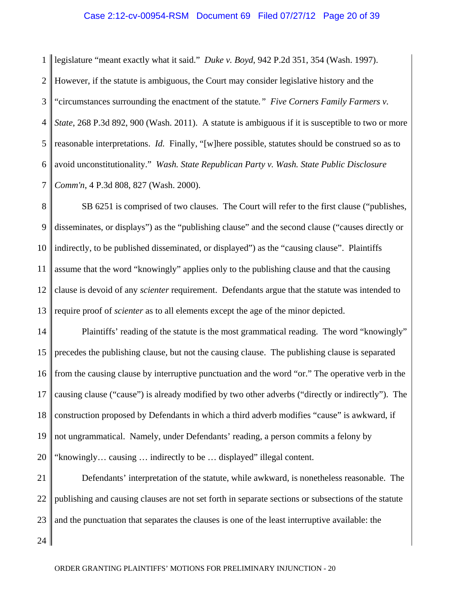#### Case 2:12-cv-00954-RSM Document 69 Filed 07/27/12 Page 20 of 39

1  $\mathcal{D}_{\mathcal{L}}$ 3 4 5 6 7 legislature "meant exactly what it said." *Duke v. Boyd*, 942 P.2d 351, 354 (Wash. 1997). However, if the statute is ambiguous, the Court may consider legislative history and the "circumstances surrounding the enactment of the statute*." Five Corners Family Farmers v. State*, 268 P.3d 892, 900 (Wash. 2011). A statute is ambiguous if it is susceptible to two or more reasonable interpretations. *Id.* Finally, "[w]here possible, statutes should be construed so as to avoid unconstitutionality." *Wash. State Republican Party v. Wash. State Public Disclosure Comm'n*, 4 P.3d 808, 827 (Wash. 2000).

8 9 10 11 12 13 SB 6251 is comprised of two clauses. The Court will refer to the first clause ("publishes, disseminates, or displays") as the "publishing clause" and the second clause ("causes directly or indirectly, to be published disseminated, or displayed") as the "causing clause". Plaintiffs assume that the word "knowingly" applies only to the publishing clause and that the causing clause is devoid of any *scienter* requirement. Defendants argue that the statute was intended to require proof of *scienter* as to all elements except the age of the minor depicted.

14 15 16 17 18 19 20 Plaintiffs' reading of the statute is the most grammatical reading. The word "knowingly" precedes the publishing clause, but not the causing clause. The publishing clause is separated from the causing clause by interruptive punctuation and the word "or." The operative verb in the causing clause ("cause") is already modified by two other adverbs ("directly or indirectly"). The construction proposed by Defendants in which a third adverb modifies "cause" is awkward, if not ungrammatical. Namely, under Defendants' reading, a person commits a felony by "knowingly… causing … indirectly to be … displayed" illegal content.

21 22 23 24 Defendants' interpretation of the statute, while awkward, is nonetheless reasonable. The publishing and causing clauses are not set forth in separate sections or subsections of the statute and the punctuation that separates the clauses is one of the least interruptive available: the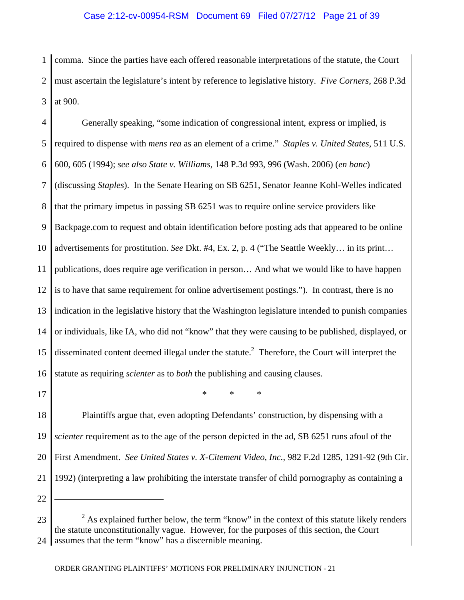1  $\mathcal{D}_{\mathcal{L}}$ 3 comma. Since the parties have each offered reasonable interpretations of the statute, the Court must ascertain the legislature's intent by reference to legislative history. *Five Corners*, 268 P.3d at 900.

4 5 6 7 8 9 10 11 12 13 14 15 16 Generally speaking, "some indication of congressional intent, express or implied, is required to dispense with *mens rea* as an element of a crime." *Staples v. United States*, 511 U.S. 600, 605 (1994); *see also State v. Williams*, 148 P.3d 993, 996 (Wash. 2006) (*en banc*) (discussing *Staples*). In the Senate Hearing on SB 6251, Senator Jeanne Kohl-Welles indicated that the primary impetus in passing SB 6251 was to require online service providers like Backpage.com to request and obtain identification before posting ads that appeared to be online advertisements for prostitution. *See* Dkt. #4, Ex. 2, p. 4 ("The Seattle Weekly… in its print… publications, does require age verification in person… And what we would like to have happen is to have that same requirement for online advertisement postings."). In contrast, there is no indication in the legislative history that the Washington legislature intended to punish companies or individuals, like IA, who did not "know" that they were causing to be published, displayed, or disseminated content deemed illegal under the statute.<sup>2</sup> Therefore, the Court will interpret the statute as requiring *scienter* as to *both* the publishing and causing clauses.

17

18 19 20 21 Plaintiffs argue that, even adopting Defendants' construction, by dispensing with a *scienter* requirement as to the age of the person depicted in the ad, SB 6251 runs afoul of the First Amendment. *See United States v. X-Citement Video, Inc.*, 982 F.2d 1285, 1291-92 (9th Cir. 1992) (interpreting a law prohibiting the interstate transfer of child pornography as containing a 1

\* \* \*

<sup>23</sup> 24  $2^2$  As explained further below, the term "know" in the context of this statute likely renders the statute unconstitutionally vague. However, for the purposes of this section, the Court assumes that the term "know" has a discernible meaning.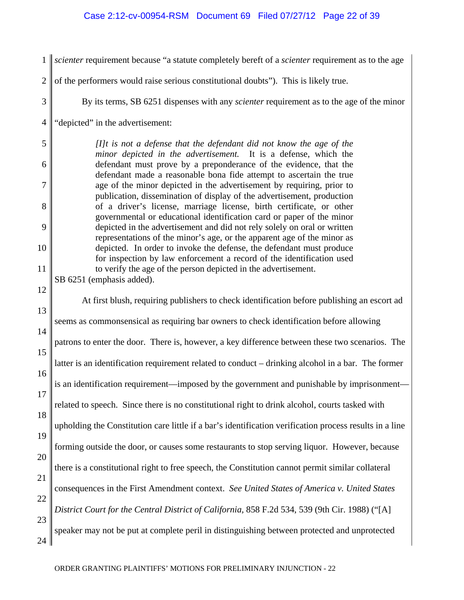| $1 \parallel$  | scienter requirement because "a statute completely bereft of a scienter requirement as to the age                                                                                                                        |
|----------------|--------------------------------------------------------------------------------------------------------------------------------------------------------------------------------------------------------------------------|
| $\overline{2}$ | of the performers would raise serious constitutional doubts"). This is likely true.                                                                                                                                      |
| 3              | By its terms, SB 6251 dispenses with any <i>scienter</i> requirement as to the age of the minor                                                                                                                          |
| $\overline{4}$ | "depicted" in the advertisement:                                                                                                                                                                                         |
| 5              | [I]t is not a defense that the defendant did not know the age of the<br>minor depicted in the advertisement. It is a defense, which the                                                                                  |
| 6              | defendant must prove by a preponderance of the evidence, that the<br>defendant made a reasonable bona fide attempt to ascertain the true                                                                                 |
| 7<br>8         | age of the minor depicted in the advertisement by requiring, prior to<br>publication, dissemination of display of the advertisement, production<br>of a driver's license, marriage license, birth certificate, or other  |
| 9              | governmental or educational identification card or paper of the minor<br>depicted in the advertisement and did not rely solely on oral or written                                                                        |
| 10             | representations of the minor's age, or the apparent age of the minor as<br>depicted. In order to invoke the defense, the defendant must produce<br>for inspection by law enforcement a record of the identification used |
| 11             | to verify the age of the person depicted in the advertisement.<br>SB 6251 (emphasis added).                                                                                                                              |
| 12             | At first blush, requiring publishers to check identification before publishing an escort ad                                                                                                                              |
| 13<br>14       | seems as commonsensical as requiring bar owners to check identification before allowing                                                                                                                                  |
| 15             | patrons to enter the door. There is, however, a key difference between these two scenarios. The                                                                                                                          |
| 16             | latter is an identification requirement related to conduct – drinking alcohol in a bar. The former                                                                                                                       |
| 17             | is an identification requirement—imposed by the government and punishable by imprisonment—                                                                                                                               |
| 18             | related to speech. Since there is no constitutional right to drink alcohol, courts tasked with                                                                                                                           |
| 19             | upholding the Constitution care little if a bar's identification verification process results in a line                                                                                                                  |
| 20             | forming outside the door, or causes some restaurants to stop serving liquor. However, because                                                                                                                            |
| 21             | there is a constitutional right to free speech, the Constitution cannot permit similar collateral                                                                                                                        |
| 22             | consequences in the First Amendment context. See United States of America v. United States                                                                                                                               |
| 23             | District Court for the Central District of California, 858 F.2d 534, 539 (9th Cir. 1988) ("[A]                                                                                                                           |
| 24             | speaker may not be put at complete peril in distinguishing between protected and unprotected                                                                                                                             |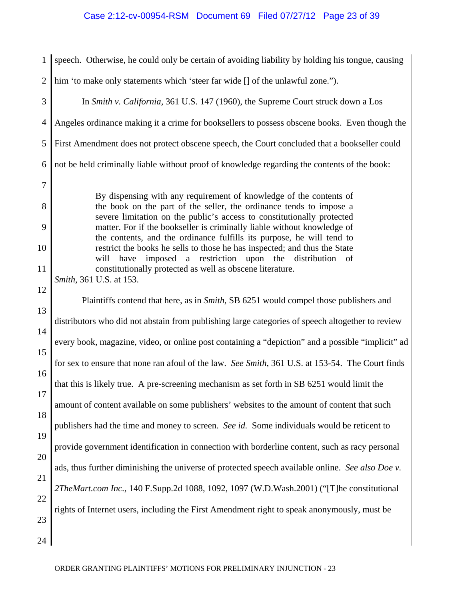# Case 2:12-cv-00954-RSM Document 69 Filed 07/27/12 Page 23 of 39

|                                                                                           | speech. Otherwise, he could only be certain of avoiding liability by holding his tongue, causing                                                                                                                                                                                                                                                                                                                                                                                                                                                                                                                                                                                                                                                                                                                                                                                                                                                                                                                                                                                                                                                                                                                                                                                                                                                                                                                                                                                                                                                                                                                                                                                                                        |
|-------------------------------------------------------------------------------------------|-------------------------------------------------------------------------------------------------------------------------------------------------------------------------------------------------------------------------------------------------------------------------------------------------------------------------------------------------------------------------------------------------------------------------------------------------------------------------------------------------------------------------------------------------------------------------------------------------------------------------------------------------------------------------------------------------------------------------------------------------------------------------------------------------------------------------------------------------------------------------------------------------------------------------------------------------------------------------------------------------------------------------------------------------------------------------------------------------------------------------------------------------------------------------------------------------------------------------------------------------------------------------------------------------------------------------------------------------------------------------------------------------------------------------------------------------------------------------------------------------------------------------------------------------------------------------------------------------------------------------------------------------------------------------------------------------------------------------|
| $\overline{2}$                                                                            | him 'to make only statements which 'steer far wide [] of the unlawful zone.").                                                                                                                                                                                                                                                                                                                                                                                                                                                                                                                                                                                                                                                                                                                                                                                                                                                                                                                                                                                                                                                                                                                                                                                                                                                                                                                                                                                                                                                                                                                                                                                                                                          |
| 3                                                                                         | In Smith v. California, 361 U.S. 147 (1960), the Supreme Court struck down a Los                                                                                                                                                                                                                                                                                                                                                                                                                                                                                                                                                                                                                                                                                                                                                                                                                                                                                                                                                                                                                                                                                                                                                                                                                                                                                                                                                                                                                                                                                                                                                                                                                                        |
| $\overline{4}$                                                                            | Angeles ordinance making it a crime for booksellers to possess obscene books. Even though the                                                                                                                                                                                                                                                                                                                                                                                                                                                                                                                                                                                                                                                                                                                                                                                                                                                                                                                                                                                                                                                                                                                                                                                                                                                                                                                                                                                                                                                                                                                                                                                                                           |
| 5                                                                                         | First Amendment does not protect obscene speech, the Court concluded that a bookseller could                                                                                                                                                                                                                                                                                                                                                                                                                                                                                                                                                                                                                                                                                                                                                                                                                                                                                                                                                                                                                                                                                                                                                                                                                                                                                                                                                                                                                                                                                                                                                                                                                            |
| 6                                                                                         | not be held criminally liable without proof of knowledge regarding the contents of the book:                                                                                                                                                                                                                                                                                                                                                                                                                                                                                                                                                                                                                                                                                                                                                                                                                                                                                                                                                                                                                                                                                                                                                                                                                                                                                                                                                                                                                                                                                                                                                                                                                            |
| 7<br>8<br>9<br>10<br>11<br>12<br>13<br>14<br>15<br>16<br>17<br>18<br>19<br>20<br>21<br>22 | By dispensing with any requirement of knowledge of the contents of<br>the book on the part of the seller, the ordinance tends to impose a<br>severe limitation on the public's access to constitutionally protected<br>matter. For if the bookseller is criminally liable without knowledge of<br>the contents, and the ordinance fulfills its purpose, he will tend to<br>restrict the books he sells to those he has inspected; and thus the State<br>will have imposed a restriction upon the distribution<br>- of<br>constitutionally protected as well as obscene literature.<br>Smith, 361 U.S. at 153.<br>Plaintiffs contend that here, as in <i>Smith</i> , SB 6251 would compel those publishers and<br>distributors who did not abstain from publishing large categories of speech altogether to review<br>every book, magazine, video, or online post containing a "depiction" and a possible "implicit" ad<br>for sex to ensure that none ran afoul of the law. See Smith, 361 U.S. at 153-54. The Court finds<br>that this is likely true. A pre-screening mechanism as set forth in SB 6251 would limit the<br>amount of content available on some publishers' websites to the amount of content that such<br>publishers had the time and money to screen. See id. Some individuals would be reticent to<br>provide government identification in connection with borderline content, such as racy personal<br>ads, thus further diminishing the universe of protected speech available online. See also Doe v.<br>2TheMart.com Inc., 140 F.Supp.2d 1088, 1092, 1097 (W.D.Wash.2001) ("[T]he constitutional<br>rights of Internet users, including the First Amendment right to speak anonymously, must be |
| 23<br>24                                                                                  |                                                                                                                                                                                                                                                                                                                                                                                                                                                                                                                                                                                                                                                                                                                                                                                                                                                                                                                                                                                                                                                                                                                                                                                                                                                                                                                                                                                                                                                                                                                                                                                                                                                                                                                         |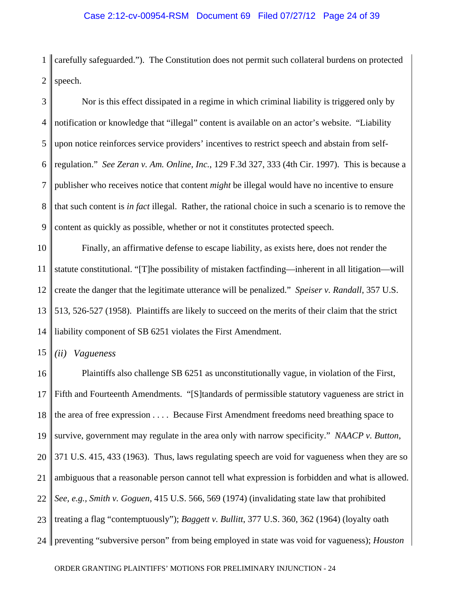1 2 carefully safeguarded."). The Constitution does not permit such collateral burdens on protected speech.

3 4 5 6 7 8 9 Nor is this effect dissipated in a regime in which criminal liability is triggered only by notification or knowledge that "illegal" content is available on an actor's website. "Liability upon notice reinforces service providers' incentives to restrict speech and abstain from selfregulation." *See Zeran v. Am. Online, Inc.*, 129 F.3d 327, 333 (4th Cir. 1997). This is because a publisher who receives notice that content *might* be illegal would have no incentive to ensure that such content is *in fact* illegal. Rather, the rational choice in such a scenario is to remove the content as quickly as possible, whether or not it constitutes protected speech.

10 11 12 13 14 Finally, an affirmative defense to escape liability, as exists here, does not render the statute constitutional. "[T]he possibility of mistaken factfinding—inherent in all litigation—will create the danger that the legitimate utterance will be penalized." *Speiser v. Randall*, 357 U.S. 513, 526-527 (1958). Plaintiffs are likely to succeed on the merits of their claim that the strict liability component of SB 6251 violates the First Amendment.

15 *(ii) Vagueness* 

16 17 18 19 20 21 22 23  $24$ Plaintiffs also challenge SB 6251 as unconstitutionally vague, in violation of the First, Fifth and Fourteenth Amendments. "[S]tandards of permissible statutory vagueness are strict in the area of free expression . . . . Because First Amendment freedoms need breathing space to survive, government may regulate in the area only with narrow specificity." *NAACP v. Button*, 371 U.S. 415, 433 (1963). Thus, laws regulating speech are void for vagueness when they are so ambiguous that a reasonable person cannot tell what expression is forbidden and what is allowed. *See, e.g., Smith v. Goguen*, 415 U.S. 566, 569 (1974) (invalidating state law that prohibited treating a flag "contemptuously"); *Baggett v. Bullitt*, 377 U.S. 360, 362 (1964) (loyalty oath preventing "subversive person" from being employed in state was void for vagueness); *Houston*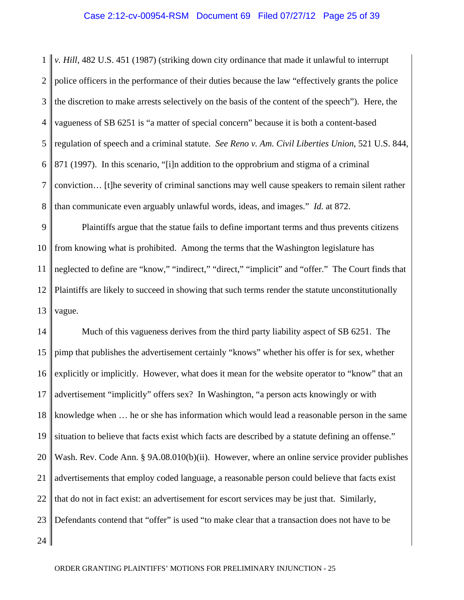1  $\mathcal{D}_{\mathcal{L}}$ 3 4 5 6 7 8 *v. Hill*, 482 U.S. 451 (1987) (striking down city ordinance that made it unlawful to interrupt police officers in the performance of their duties because the law "effectively grants the police the discretion to make arrests selectively on the basis of the content of the speech"). Here, the vagueness of SB 6251 is "a matter of special concern" because it is both a content-based regulation of speech and a criminal statute. *See Reno v. Am. Civil Liberties Union*, 521 U.S. 844, 871 (1997). In this scenario, "[i]n addition to the opprobrium and stigma of a criminal conviction… [t]he severity of criminal sanctions may well cause speakers to remain silent rather than communicate even arguably unlawful words, ideas, and images." *Id.* at 872.

9 10 11 12 13 Plaintiffs argue that the statue fails to define important terms and thus prevents citizens from knowing what is prohibited. Among the terms that the Washington legislature has neglected to define are "know," "indirect," "direct," "implicit" and "offer." The Court finds that Plaintiffs are likely to succeed in showing that such terms render the statute unconstitutionally vague.

14 15 16 17 18 19 20 21 22 23 24 Much of this vagueness derives from the third party liability aspect of SB 6251. The pimp that publishes the advertisement certainly "knows" whether his offer is for sex, whether explicitly or implicitly. However, what does it mean for the website operator to "know" that an advertisement "implicitly" offers sex? In Washington, "a person acts knowingly or with knowledge when … he or she has information which would lead a reasonable person in the same situation to believe that facts exist which facts are described by a statute defining an offense." Wash. Rev. Code Ann. § 9A.08.010(b)(ii). However, where an online service provider publishes advertisements that employ coded language, a reasonable person could believe that facts exist that do not in fact exist: an advertisement for escort services may be just that. Similarly, Defendants contend that "offer" is used "to make clear that a transaction does not have to be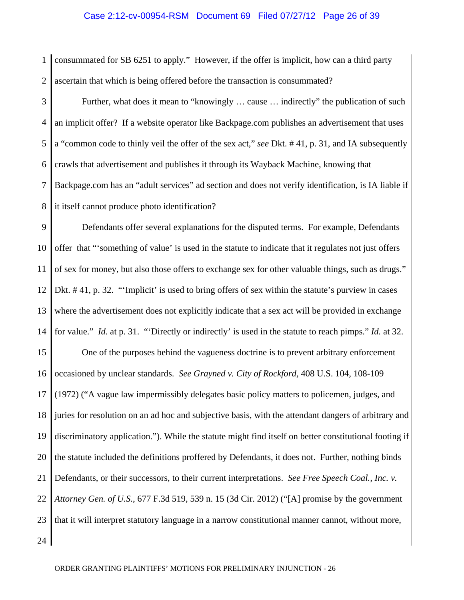#### Case 2:12-cv-00954-RSM Document 69 Filed 07/27/12 Page 26 of 39

1  $\mathcal{D}_{\mathcal{L}}$ consummated for SB 6251 to apply." However, if the offer is implicit, how can a third party ascertain that which is being offered before the transaction is consummated?

3 4 5 6 7 8 Further, what does it mean to "knowingly ... cause ... indirectly" the publication of such an implicit offer? If a website operator like Backpage.com publishes an advertisement that uses a "common code to thinly veil the offer of the sex act," *see* Dkt. # 41, p. 31, and IA subsequently crawls that advertisement and publishes it through its Wayback Machine, knowing that Backpage.com has an "adult services" ad section and does not verify identification, is IA liable if it itself cannot produce photo identification?

9 10 11 12 13 14 15 16 17 18 19 20 21 22 23 24 Defendants offer several explanations for the disputed terms. For example, Defendants offer that "'something of value' is used in the statute to indicate that it regulates not just offers of sex for money, but also those offers to exchange sex for other valuable things, such as drugs." Dkt. # 41, p. 32. "'Implicit' is used to bring offers of sex within the statute's purview in cases where the advertisement does not explicitly indicate that a sex act will be provided in exchange for value." *Id.* at p. 31. "'Directly or indirectly' is used in the statute to reach pimps." *Id.* at 32. One of the purposes behind the vagueness doctrine is to prevent arbitrary enforcement occasioned by unclear standards. *See Grayned v. City of Rockford,* 408 U.S. 104, 108-109 (1972) ("A vague law impermissibly delegates basic policy matters to policemen, judges, and juries for resolution on an ad hoc and subjective basis, with the attendant dangers of arbitrary and discriminatory application."). While the statute might find itself on better constitutional footing if the statute included the definitions proffered by Defendants, it does not. Further, nothing binds Defendants, or their successors, to their current interpretations. *See Free Speech Coal., Inc. v. Attorney Gen. of U.S.*, 677 F.3d 519, 539 n. 15 (3d Cir. 2012) ("[A] promise by the government that it will interpret statutory language in a narrow constitutional manner cannot, without more,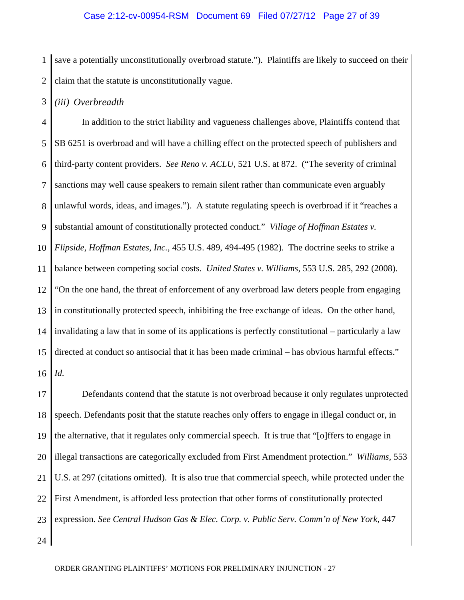1  $\mathcal{D}_{\mathcal{L}}$ save a potentially unconstitutionally overbroad statute."). Plaintiffs are likely to succeed on their claim that the statute is unconstitutionally vague.

3 *(iii) Overbreadth* 

4 5 6 7 8 9 10 11 12 13 14 15 16 In addition to the strict liability and vagueness challenges above, Plaintiffs contend that SB 6251 is overbroad and will have a chilling effect on the protected speech of publishers and third-party content providers. *See Reno v. ACLU,* 521 U.S. at 872. ("The severity of criminal sanctions may well cause speakers to remain silent rather than communicate even arguably unlawful words, ideas, and images."). A statute regulating speech is overbroad if it "reaches a substantial amount of constitutionally protected conduct." *Village of Hoffman Estates v. Flipside, Hoffman Estates, Inc.*, 455 U.S. 489, 494-495 (1982). The doctrine seeks to strike a balance between competing social costs. *United States v. Williams*, 553 U.S. 285, 292 (2008). "On the one hand, the threat of enforcement of any overbroad law deters people from engaging in constitutionally protected speech, inhibiting the free exchange of ideas. On the other hand, invalidating a law that in some of its applications is perfectly constitutional – particularly a law directed at conduct so antisocial that it has been made criminal – has obvious harmful effects." *Id.*

17 18 19 20 21 22 23 24 Defendants contend that the statute is not overbroad because it only regulates unprotected speech. Defendants posit that the statute reaches only offers to engage in illegal conduct or, in the alternative, that it regulates only commercial speech. It is true that "[o]ffers to engage in illegal transactions are categorically excluded from First Amendment protection." *Williams*, 553 U.S. at 297 (citations omitted). It is also true that commercial speech, while protected under the First Amendment, is afforded less protection that other forms of constitutionally protected expression. *See Central Hudson Gas & Elec. Corp. v. Public Serv. Comm'n of New York*, 447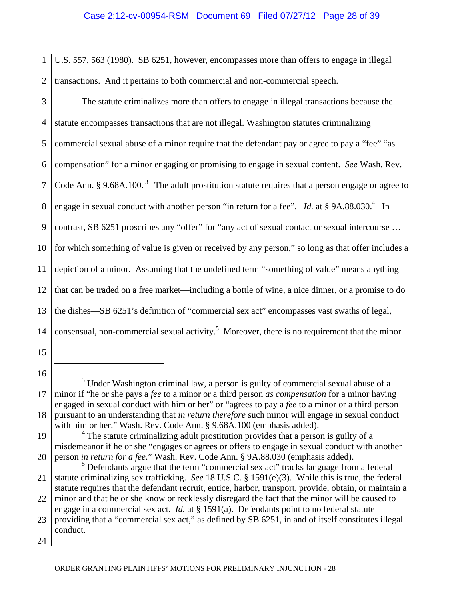1  $\mathcal{D}_{\mathcal{L}}$ U.S. 557, 563 (1980). SB 6251, however, encompasses more than offers to engage in illegal transactions. And it pertains to both commercial and non-commercial speech.

3 4 5 6 7 8 9 10 11 12 13 14 The statute criminalizes more than offers to engage in illegal transactions because the statute encompasses transactions that are not illegal. Washington statutes criminalizing commercial sexual abuse of a minor require that the defendant pay or agree to pay a "fee" "as compensation" for a minor engaging or promising to engage in sexual content. *See* Wash. Rev. Code Ann. § 9.68A.100.<sup>3</sup> The adult prostitution statute requires that a person engage or agree to engage in sexual conduct with another person "in return for a fee". Id. at § 9A.88.030.<sup>4</sup> In contrast, SB 6251 proscribes any "offer" for "any act of sexual contact or sexual intercourse … for which something of value is given or received by any person," so long as that offer includes a depiction of a minor. Assuming that the undefined term "something of value" means anything that can be traded on a free market—including a bottle of wine, a nice dinner, or a promise to do the dishes—SB 6251's definition of "commercial sex act" encompasses vast swaths of legal, consensual, non-commercial sexual activity.<sup>5</sup> Moreover, there is no requirement that the minor

15

16

<sup>17</sup> 18  $3$  Under Washington criminal law, a person is guilty of commercial sexual abuse of a minor if "he or she pays a *fee* to a minor or a third person *as compensation* for a minor having engaged in sexual conduct with him or her" or "agrees to pay a *fee* to a minor or a third person pursuant to an understanding that *in return therefore* such minor will engage in sexual conduct with him or her." Wash. Rev. Code Ann. § 9.68A.100 (emphasis added).

<sup>19</sup> 20 <sup>4</sup> The statute criminalizing adult prostitution provides that a person is guilty of a misdemeanor if he or she "engages or agrees or offers to engage in sexual conduct with another person *in return for a fee*." Wash. Rev. Code Ann. § 9A.88.030 (emphasis added).

<sup>21</sup> 22 <sup>5</sup> Defendants argue that the term "commercial sex act" tracks language from a federal statute criminalizing sex trafficking. *See* 18 U.S.C. § 1591(e)(3). While this is true, the federal statute requires that the defendant recruit, entice, harbor, transport, provide, obtain, or maintain a minor and that he or she know or recklessly disregard the fact that the minor will be caused to

<sup>23</sup> engage in a commercial sex act. *Id.* at § 1591(a).Defendants point to no federal statute providing that a "commercial sex act," as defined by SB 6251, in and of itself constitutes illegal conduct.

<sup>24</sup>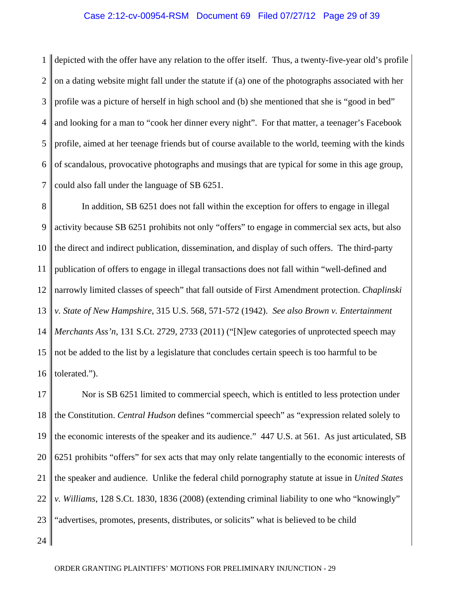#### Case 2:12-cv-00954-RSM Document 69 Filed 07/27/12 Page 29 of 39

1  $\mathcal{D}_{\mathcal{L}}$ 3 4 5 6 7 depicted with the offer have any relation to the offer itself. Thus, a twenty-five-year old's profile on a dating website might fall under the statute if (a) one of the photographs associated with her profile was a picture of herself in high school and (b) she mentioned that she is "good in bed" and looking for a man to "cook her dinner every night". For that matter, a teenager's Facebook profile, aimed at her teenage friends but of course available to the world, teeming with the kinds of scandalous, provocative photographs and musings that are typical for some in this age group, could also fall under the language of SB 6251.

8 9 10 11 12 13 14 15 16 In addition, SB 6251 does not fall within the exception for offers to engage in illegal activity because SB 6251 prohibits not only "offers" to engage in commercial sex acts, but also the direct and indirect publication, dissemination, and display of such offers. The third-party publication of offers to engage in illegal transactions does not fall within "well-defined and narrowly limited classes of speech" that fall outside of First Amendment protection. *Chaplinski v. State of New Hampshire*, 315 U.S. 568, 571-572 (1942). *See also Brown v. Entertainment Merchants Ass'n*, 131 S.Ct. 2729, 2733 (2011) ("[N]ew categories of unprotected speech may not be added to the list by a legislature that concludes certain speech is too harmful to be tolerated.").

17 18 19 20 21 22 23 Nor is SB 6251 limited to commercial speech, which is entitled to less protection under the Constitution. *Central Hudson* defines "commercial speech" as "expression related solely to the economic interests of the speaker and its audience." 447 U.S. at 561. As just articulated, SB 6251 prohibits "offers" for sex acts that may only relate tangentially to the economic interests of the speaker and audience. Unlike the federal child pornography statute at issue in *United States v. Williams*, 128 S.Ct. 1830, 1836 (2008) (extending criminal liability to one who "knowingly" "advertises, promotes, presents, distributes, or solicits" what is believed to be child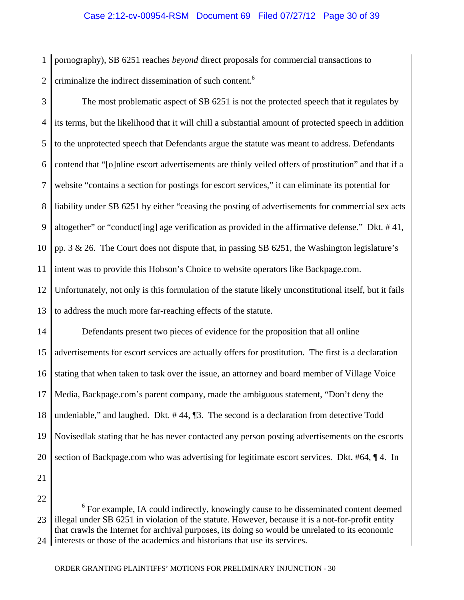1  $\mathcal{D}_{\mathcal{L}}$ pornography), SB 6251 reaches *beyond* direct proposals for commercial transactions to criminalize the indirect dissemination of such content.<sup>6</sup>

3 4 5 6 7 8 9 10 11 12 The most problematic aspect of SB 6251 is not the protected speech that it regulates by its terms, but the likelihood that it will chill a substantial amount of protected speech in addition to the unprotected speech that Defendants argue the statute was meant to address. Defendants contend that "[o]nline escort advertisements are thinly veiled offers of prostitution" and that if a website "contains a section for postings for escort services," it can eliminate its potential for liability under SB 6251 by either "ceasing the posting of advertisements for commercial sex acts altogether" or "conduct[ing] age verification as provided in the affirmative defense." Dkt. # 41, pp. 3 & 26. The Court does not dispute that, in passing SB 6251, the Washington legislature's intent was to provide this Hobson's Choice to website operators like Backpage.com. Unfortunately, not only is this formulation of the statute likely unconstitutional itself, but it fails

13 to address the much more far-reaching effects of the statute.

14 15 16 17 18 19 20 Defendants present two pieces of evidence for the proposition that all online advertisements for escort services are actually offers for prostitution. The first is a declaration stating that when taken to task over the issue, an attorney and board member of Village Voice Media, Backpage.com's parent company, made the ambiguous statement, "Don't deny the undeniable," and laughed. Dkt. # 44, ¶3. The second is a declaration from detective Todd Novisedlak stating that he has never contacted any person posting advertisements on the escorts section of Backpage.com who was advertising for legitimate escort services. Dkt. #64, ¶ 4. In

21 22

 $\overline{a}$ 

<sup>23</sup> 24 ll <sup>6</sup> For example, IA could indirectly, knowingly cause to be disseminated content deemed illegal under SB 6251 in violation of the statute. However, because it is a not-for-profit entity that crawls the Internet for archival purposes, its doing so would be unrelated to its economic interests or those of the academics and historians that use its services.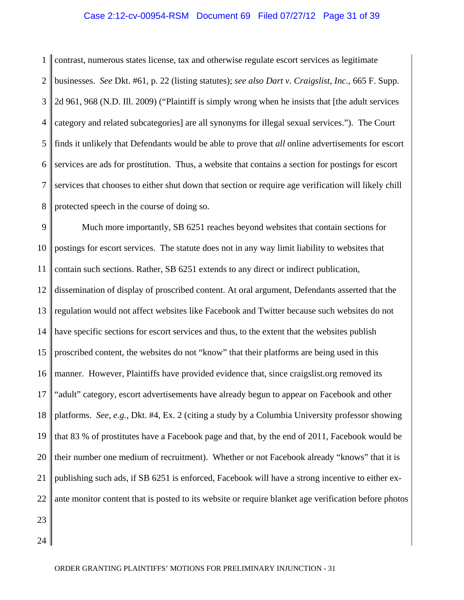#### Case 2:12-cv-00954-RSM Document 69 Filed 07/27/12 Page 31 of 39

1  $\mathcal{D}_{\mathcal{L}}$ 3 4 5 6 7 8 contrast, numerous states license, tax and otherwise regulate escort services as legitimate businesses. *See* Dkt. #61, p. 22 (listing statutes); *see also Dart v. Craigslist, Inc.*, 665 F. Supp. 2d 961, 968 (N.D. Ill. 2009) ("Plaintiff is simply wrong when he insists that [the adult services category and related subcategories] are all synonyms for illegal sexual services."). The Court finds it unlikely that Defendants would be able to prove that *all* online advertisements for escort services are ads for prostitution. Thus, a website that contains a section for postings for escort services that chooses to either shut down that section or require age verification will likely chill protected speech in the course of doing so.

9 10 11 12 13 14 15 16 17 18 19 20 21 22 23 Much more importantly, SB 6251 reaches beyond websites that contain sections for postings for escort services. The statute does not in any way limit liability to websites that contain such sections. Rather, SB 6251 extends to any direct or indirect publication, dissemination of display of proscribed content. At oral argument, Defendants asserted that the regulation would not affect websites like Facebook and Twitter because such websites do not have specific sections for escort services and thus, to the extent that the websites publish proscribed content, the websites do not "know" that their platforms are being used in this manner. However, Plaintiffs have provided evidence that, since craigslist.org removed its "adult" category, escort advertisements have already begun to appear on Facebook and other platforms. *See*, *e.g.*, Dkt. #4, Ex. 2 (citing a study by a Columbia University professor showing that 83 % of prostitutes have a Facebook page and that, by the end of 2011, Facebook would be their number one medium of recruitment). Whether or not Facebook already "knows" that it is publishing such ads, if SB 6251 is enforced, Facebook will have a strong incentive to either exante monitor content that is posted to its website or require blanket age verification before photos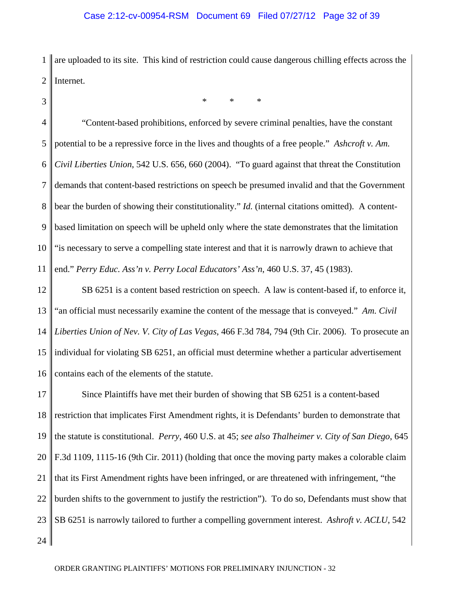1  $\mathcal{D}_{\mathcal{L}}$ are uploaded to its site. This kind of restriction could cause dangerous chilling effects across the Internet.

3

- 4 5 6 7 8 9 10 11 \* \* \* "Content-based prohibitions, enforced by severe criminal penalties, have the constant potential to be a repressive force in the lives and thoughts of a free people." *Ashcroft v. Am. Civil Liberties Union*, 542 U.S. 656, 660 (2004). "To guard against that threat the Constitution demands that content-based restrictions on speech be presumed invalid and that the Government bear the burden of showing their constitutionality." *Id.* (internal citations omitted). A contentbased limitation on speech will be upheld only where the state demonstrates that the limitation "is necessary to serve a compelling state interest and that it is narrowly drawn to achieve that end." *Perry Educ. Ass'n v. Perry Local Educators' Ass'n*, 460 U.S. 37, 45 (1983).
- 12 13 14 15 16 SB 6251 is a content based restriction on speech. A law is content-based if, to enforce it, "an official must necessarily examine the content of the message that is conveyed." *Am. Civil Liberties Union of Nev. V. City of Las Vegas*, 466 F.3d 784, 794 (9th Cir. 2006). To prosecute an individual for violating SB 6251, an official must determine whether a particular advertisement contains each of the elements of the statute.

17 18 19 20 21 22 23 24 Since Plaintiffs have met their burden of showing that SB 6251 is a content-based restriction that implicates First Amendment rights, it is Defendants' burden to demonstrate that the statute is constitutional. *Perry*, 460 U.S. at 45; *see also Thalheimer v. City of San Diego*, 645 F.3d 1109, 1115-16 (9th Cir. 2011) (holding that once the moving party makes a colorable claim that its First Amendment rights have been infringed, or are threatened with infringement, "the burden shifts to the government to justify the restriction"). To do so, Defendants must show that SB 6251 is narrowly tailored to further a compelling government interest. *Ashroft v. ACLU*, 542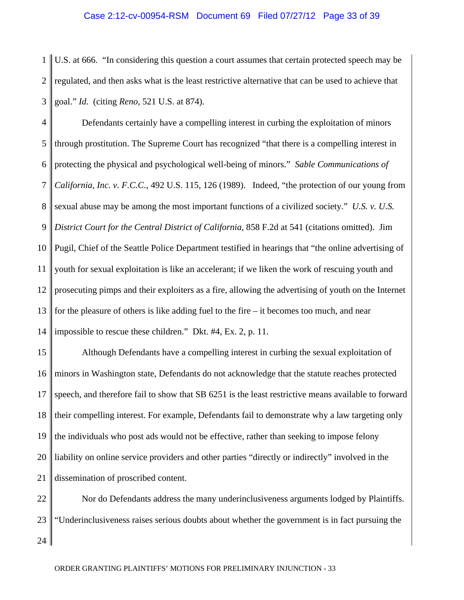#### Case 2:12-cv-00954-RSM Document 69 Filed 07/27/12 Page 33 of 39

1  $\mathcal{D}_{\mathcal{L}}$ 3 U.S. at 666. "In considering this question a court assumes that certain protected speech may be regulated, and then asks what is the least restrictive alternative that can be used to achieve that goal." *Id.* (citing *Reno*, 521 U.S. at 874).

4 5 6 7 8 9 10 11 12 13 14 Defendants certainly have a compelling interest in curbing the exploitation of minors through prostitution. The Supreme Court has recognized "that there is a compelling interest in protecting the physical and psychological well-being of minors." *Sable Communications of California, Inc. v. F.C.C.*, 492 U.S. 115, 126 (1989). Indeed, "the protection of our young from sexual abuse may be among the most important functions of a civilized society." *U.S. v. U.S. District Court for the Central District of California,* 858 F.2d at 541 (citations omitted). Jim Pugil, Chief of the Seattle Police Department testified in hearings that "the online advertising of youth for sexual exploitation is like an accelerant; if we liken the work of rescuing youth and prosecuting pimps and their exploiters as a fire, allowing the advertising of youth on the Internet for the pleasure of others is like adding fuel to the fire – it becomes too much, and near impossible to rescue these children." Dkt. #4, Ex. 2, p. 11.

15 16 17 18 19 20 21 Although Defendants have a compelling interest in curbing the sexual exploitation of minors in Washington state, Defendants do not acknowledge that the statute reaches protected speech, and therefore fail to show that SB 6251 is the least restrictive means available to forward their compelling interest. For example, Defendants fail to demonstrate why a law targeting only the individuals who post ads would not be effective, rather than seeking to impose felony liability on online service providers and other parties "directly or indirectly" involved in the dissemination of proscribed content.

22 23 24 Nor do Defendants address the many underinclusiveness arguments lodged by Plaintiffs. "Underinclusiveness raises serious doubts about whether the government is in fact pursuing the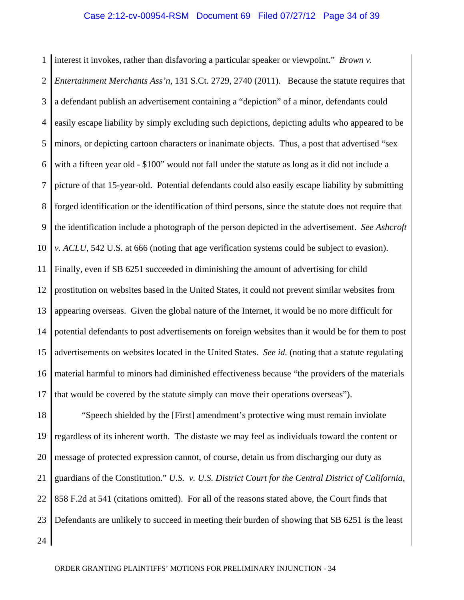#### Case 2:12-cv-00954-RSM Document 69 Filed 07/27/12 Page 34 of 39

1  $\mathcal{D}_{\mathcal{L}}$ 3 4 5 6 7 8 9 10 11 12 13 14 15 16 17 interest it invokes, rather than disfavoring a particular speaker or viewpoint." *Brown v. Entertainment Merchants Ass'n*, 131 S.Ct. 2729, 2740 (2011). Because the statute requires that a defendant publish an advertisement containing a "depiction" of a minor, defendants could easily escape liability by simply excluding such depictions, depicting adults who appeared to be minors, or depicting cartoon characters or inanimate objects. Thus, a post that advertised "sex with a fifteen year old - \$100" would not fall under the statute as long as it did not include a picture of that 15-year-old. Potential defendants could also easily escape liability by submitting forged identification or the identification of third persons, since the statute does not require that the identification include a photograph of the person depicted in the advertisement. *See Ashcroft v. ACLU*, 542 U.S. at 666 (noting that age verification systems could be subject to evasion). Finally, even if SB 6251 succeeded in diminishing the amount of advertising for child prostitution on websites based in the United States, it could not prevent similar websites from appearing overseas. Given the global nature of the Internet, it would be no more difficult for potential defendants to post advertisements on foreign websites than it would be for them to post advertisements on websites located in the United States. *See id.* (noting that a statute regulating material harmful to minors had diminished effectiveness because "the providers of the materials that would be covered by the statute simply can move their operations overseas").

18 19 20 21 22 23 24 "Speech shielded by the [First] amendment's protective wing must remain inviolate regardless of its inherent worth. The distaste we may feel as individuals toward the content or message of protected expression cannot, of course, detain us from discharging our duty as guardians of the Constitution." *U.S. v. U.S. District Court for the Central District of California,*  858 F.2d at 541 (citations omitted). For all of the reasons stated above, the Court finds that Defendants are unlikely to succeed in meeting their burden of showing that SB 6251 is the least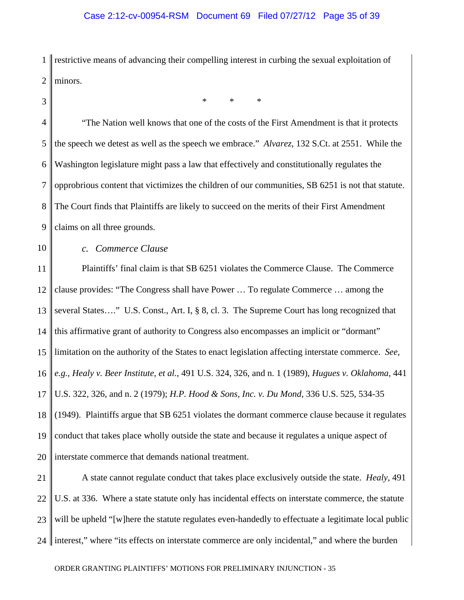1  $\mathcal{D}_{\mathcal{L}}$ restrictive means of advancing their compelling interest in curbing the sexual exploitation of minors.

3 4 5 6 7 8 9 10 11 12 13 14 15 16 17 18 19 20 21 22 23 24 ll \* \* \* "The Nation well knows that one of the costs of the First Amendment is that it protects the speech we detest as well as the speech we embrace." *Alvarez*, 132 S.Ct. at 2551. While the Washington legislature might pass a law that effectively and constitutionally regulates the opprobrious content that victimizes the children of our communities, SB 6251 is not that statute. The Court finds that Plaintiffs are likely to succeed on the merits of their First Amendment claims on all three grounds. *c. Commerce Clause*  Plaintiffs' final claim is that SB 6251 violates the Commerce Clause. The Commerce clause provides: "The Congress shall have Power … To regulate Commerce … among the several States…." U.S. Const., Art. I, § 8, cl. 3. The Supreme Court has long recognized that this affirmative grant of authority to Congress also encompasses an implicit or "dormant" limitation on the authority of the States to enact legislation affecting interstate commerce. *See, e.g., Healy v. Beer Institute, et al.*, 491 U.S. 324, 326, and n. 1 (1989), *Hugues v. Oklahoma,* 441 U.S. 322, 326, and n. 2 (1979); *H.P. Hood & Sons, Inc. v. Du Mond*, 336 U.S. 525, 534-35 (1949). Plaintiffs argue that SB 6251 violates the dormant commerce clause because it regulates conduct that takes place wholly outside the state and because it regulates a unique aspect of interstate commerce that demands national treatment. A state cannot regulate conduct that takes place exclusively outside the state. *Healy,* 491 U.S. at 336. Where a state statute only has incidental effects on interstate commerce, the statute will be upheld "[w]here the statute regulates even-handedly to effectuate a legitimate local public interest," where "its effects on interstate commerce are only incidental," and where the burden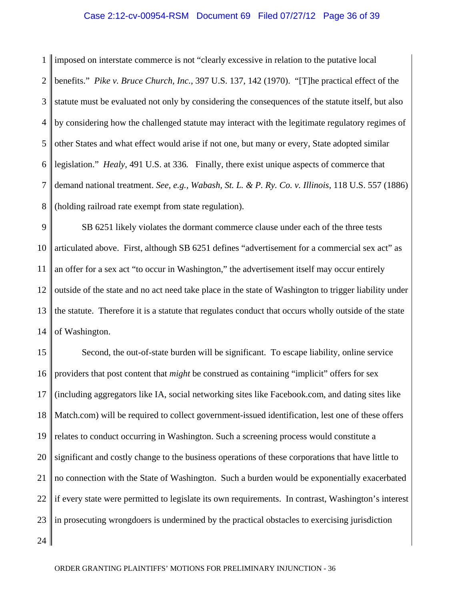#### Case 2:12-cv-00954-RSM Document 69 Filed 07/27/12 Page 36 of 39

1  $\mathcal{D}_{\mathcal{L}}$ 3 4 5 6 7 8 imposed on interstate commerce is not "clearly excessive in relation to the putative local benefits." *Pike v. Bruce Church, Inc.*, 397 U.S. 137, 142 (1970). "[T]he practical effect of the statute must be evaluated not only by considering the consequences of the statute itself, but also by considering how the challenged statute may interact with the legitimate regulatory regimes of other States and what effect would arise if not one, but many or every, State adopted similar legislation." *Healy,* 491 U.S. at 336*.* Finally, there exist unique aspects of commerce that demand national treatment. *See, e.g., Wabash, St. L. & P. Ry. Co. v. Illinois*, 118 U.S. 557 (1886) (holding railroad rate exempt from state regulation).

9 10 11 12 13 14 SB 6251 likely violates the dormant commerce clause under each of the three tests articulated above. First, although SB 6251 defines "advertisement for a commercial sex act" as an offer for a sex act "to occur in Washington," the advertisement itself may occur entirely outside of the state and no act need take place in the state of Washington to trigger liability under the statute. Therefore it is a statute that regulates conduct that occurs wholly outside of the state of Washington.

15 16 17 18 19 20 21 22 23 24 Second, the out-of-state burden will be significant. To escape liability, online service providers that post content that *might* be construed as containing "implicit" offers for sex (including aggregators like IA, social networking sites like Facebook.com, and dating sites like Match.com) will be required to collect government-issued identification, lest one of these offers relates to conduct occurring in Washington. Such a screening process would constitute a significant and costly change to the business operations of these corporations that have little to no connection with the State of Washington. Such a burden would be exponentially exacerbated if every state were permitted to legislate its own requirements. In contrast, Washington's interest in prosecuting wrongdoers is undermined by the practical obstacles to exercising jurisdiction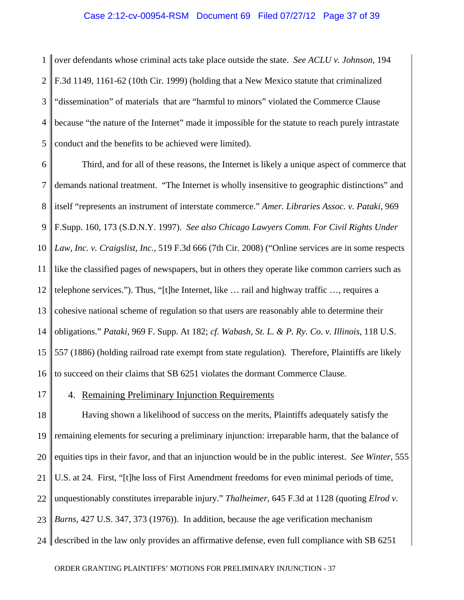1  $\mathcal{D}_{\mathcal{L}}$ 3 4 5 over defendants whose criminal acts take place outside the state. *See ACLU v. Johnson*, 194 F.3d 1149, 1161-62 (10th Cir. 1999) (holding that a New Mexico statute that criminalized "dissemination" of materials that are "harmful to minors" violated the Commerce Clause because "the nature of the Internet" made it impossible for the statute to reach purely intrastate conduct and the benefits to be achieved were limited).

6 7 8 9 10 11 12 13 14 15 16 Third, and for all of these reasons, the Internet is likely a unique aspect of commerce that demands national treatment. "The Internet is wholly insensitive to geographic distinctions" and itself "represents an instrument of interstate commerce." *Amer. Libraries Assoc. v. Pataki*, 969 F.Supp. 160, 173 (S.D.N.Y. 1997). *See also Chicago Lawyers Comm. For Civil Rights Under Law, Inc. v. Craigslist, Inc.,* 519 F.3d 666 (7th Cir. 2008) ("Online services are in some respects like the classified pages of newspapers, but in others they operate like common carriers such as telephone services."). Thus, "[t]he Internet, like … rail and highway traffic …, requires a cohesive national scheme of regulation so that users are reasonably able to determine their obligations." *Pataki*, 969 F. Supp. At 182; *cf. Wabash, St. L. & P. Ry. Co. v. Illinois*, 118 U.S. 557 (1886) (holding railroad rate exempt from state regulation). Therefore, Plaintiffs are likely to succeed on their claims that SB 6251 violates the dormant Commerce Clause.

17

4. Remaining Preliminary Injunction Requirements

18 19 20 21 22 23  $24<sub>1</sub>$ Having shown a likelihood of success on the merits, Plaintiffs adequately satisfy the remaining elements for securing a preliminary injunction: irreparable harm, that the balance of equities tips in their favor, and that an injunction would be in the public interest. *See Winter*, 555 U.S. at 24. First, "[t]he loss of First Amendment freedoms for even minimal periods of time, unquestionably constitutes irreparable injury." *Thalheimer*, 645 F.3d at 1128 (quoting *Elrod v. Burns*, 427 U.S. 347, 373 (1976)). In addition, because the age verification mechanism described in the law only provides an affirmative defense, even full compliance with SB 6251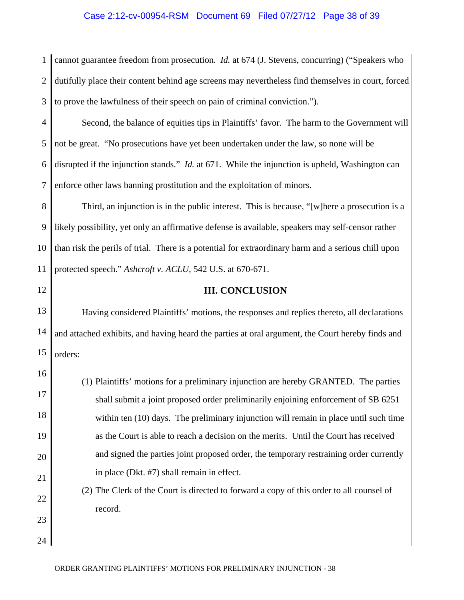#### Case 2:12-cv-00954-RSM Document 69 Filed 07/27/12 Page 38 of 39

1  $\mathcal{D}_{\mathcal{L}}$ 3 cannot guarantee freedom from prosecution. *Id.* at 674 (J. Stevens, concurring) ("Speakers who dutifully place their content behind age screens may nevertheless find themselves in court, forced to prove the lawfulness of their speech on pain of criminal conviction.").

4 5 6 7 Second, the balance of equities tips in Plaintiffs' favor. The harm to the Government will not be great. "No prosecutions have yet been undertaken under the law, so none will be disrupted if the injunction stands." *Id.* at 671. While the injunction is upheld, Washington can enforce other laws banning prostitution and the exploitation of minors.

8 9 10 11 Third, an injunction is in the public interest. This is because, "[w]here a prosecution is a likely possibility, yet only an affirmative defense is available, speakers may self-censor rather than risk the perils of trial. There is a potential for extraordinary harm and a serious chill upon protected speech." *Ashcroft v. ACLU,* 542 U.S. at 670-671.

12

16

17

18

19

20

21

22

23

#### **III. CONCLUSION**

13 14 15 Having considered Plaintiffs' motions, the responses and replies thereto, all declarations and attached exhibits, and having heard the parties at oral argument, the Court hereby finds and orders:

(1) Plaintiffs' motions for a preliminary injunction are hereby GRANTED. The parties shall submit a joint proposed order preliminarily enjoining enforcement of SB 6251 within ten (10) days. The preliminary injunction will remain in place until such time as the Court is able to reach a decision on the merits. Until the Court has received and signed the parties joint proposed order, the temporary restraining order currently in place (Dkt. #7) shall remain in effect.

(2) The Clerk of the Court is directed to forward a copy of this order to all counsel of record.